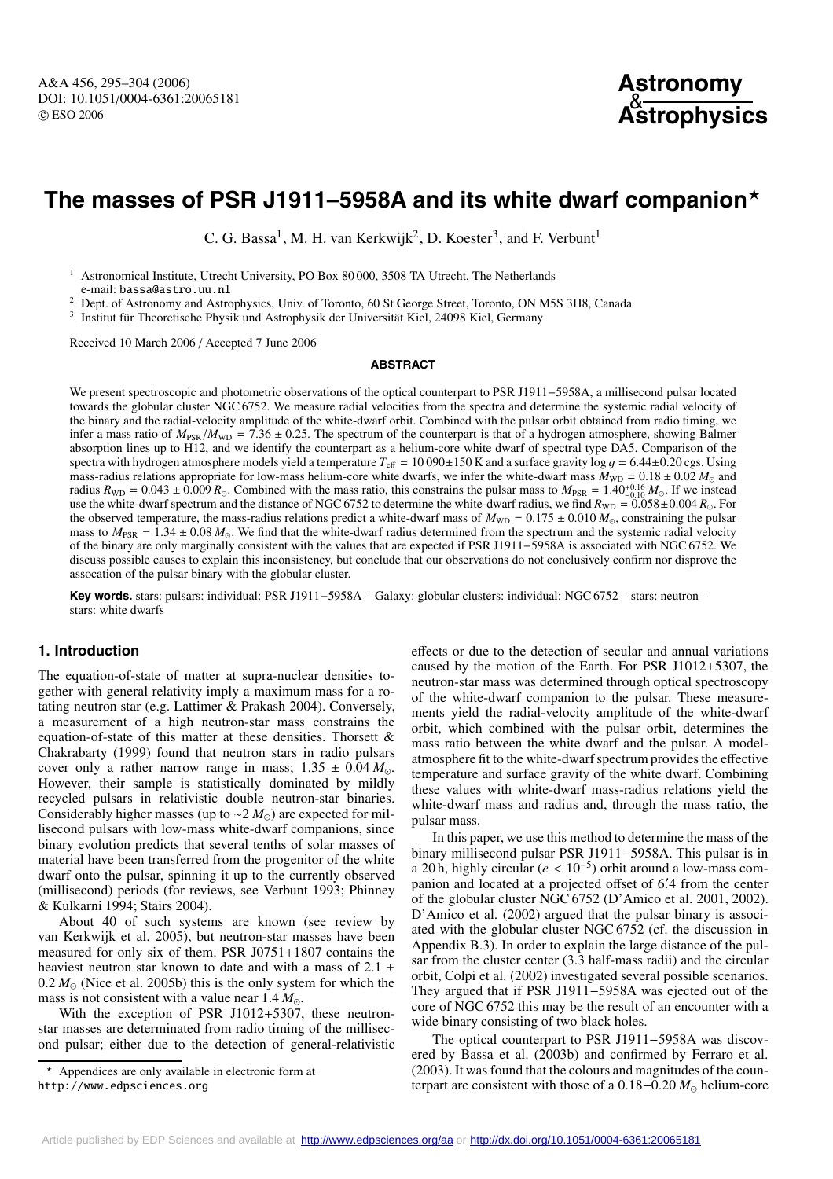# **The masses of PSR J1911–5958A and its white dwarf companion**

C. G. Bassa<sup>1</sup>, M. H. van Kerkwijk<sup>2</sup>, D. Koester<sup>3</sup>, and F. Verbunt<sup>1</sup>

<sup>1</sup> Astronomical Institute, Utrecht University, PO Box 80 000, 3508 TA Utrecht, The Netherlands

e-mail: bassa@astro.uu.nl

<sup>2</sup> Dept. of Astronomy and Astrophysics, Univ. of Toronto, 60 St George Street, Toronto, ON M5S 3H8, Canada

<sup>3</sup> Institut für Theoretische Physik und Astrophysik der Universität Kiel, 24098 Kiel, Germany

Received 10 March 2006 / Accepted 7 June 2006

#### **ABSTRACT**

We present spectroscopic and photometric observations of the optical counterpart to PSR J1911−5958A, a millisecond pulsar located towards the globular cluster NGC 6752. We measure radial velocities from the spectra and determine the systemic radial velocity of the binary and the radial-velocity amplitude of the white-dwarf orbit. Combined with the pulsar orbit obtained from radio timing, we infer a mass ratio of  $M_{PSR}/M_{WD} = 7.36 \pm 0.25$ . The spectrum of the counterpart is that of a hydrogen atmosphere, showing Balmer absorption lines up to H12, and we identify the counterpart as a helium-core white dwarf of spectral type DA5. Comparison of the spectra with hydrogen atmosphere models yield a temperature  $T_{\text{eff}} = 10090 \pm 150$  K and a surface gravity log  $g = 6.44 \pm 0.20$  cgs. Using mass-radius relations appropriate for low-mass helium-core white dwarfs, we infer the white-dwarf mass  $M_{WD} = 0.18 \pm 0.02 M_{\odot}$ <br>radius  $R_{WD} = 0.043 \pm 0.009 R_{\odot}$  Combined with the mass ratio, this constrains the pulsar mass-radius relations appropriate for low-mass helium-core white dwarfs, we infer the white-dwarf mass  $M_{WD} = 0.18 \pm 0.02 M_{\odot}$  and radius  $R_{WD} = 0.043 \pm 0.009 R_{\odot}$ . Combined with the mass ratio, this constrains the pulsar mass to  $M_{PSR} = 1.40^{+0.16}_{-0.010} M_{\odot}$ . If we instead<br>use the white-dwarf spectrum and the distance of NGC 6752 to determine use the white-dwarf spectrum and the distance of NGC 6752 to determine the white-dwarf radius, we find  $R_{WD} = 0.058 \pm 0.004 R_{\odot}$ . For the observed temperature, the mass-radius relations predict a white-dwarf mass of  $M_{$ the observed temperature, the mass-radius relations predict a white-dwarf mass of  $M_{WD} = 0.175 \pm 0.010 M_{\odot}$ , constraining the pulsar<br>mass to  $M_{\rm{non}} = 1.34 \pm 0.08 M_{\odot}$ . We find that the white-dwarf radius determined f mass to  $M_{PSR} = 1.34 \pm 0.08 M_{\odot}$ . We find that the white-dwarf radius determined from the spectrum and the systemic radial velocity of the binary are only marginally consistent with the values that are expected if PSR 1 of the binary are only marginally consistent with the values that are expected if PSR J1911−5958A is associated with NGC 6752. We discuss possible causes to explain this inconsistency, but conclude that our observations do not conclusively confirm nor disprove the assocation of the pulsar binary with the globular cluster.

**Key words.** stars: pulsars: individual: PSR J1911−5958A – Galaxy: globular clusters: individual: NGC 6752 – stars: neutron – stars: white dwarfs

# **1. Introduction**

The equation-of-state of matter at supra-nuclear densities together with general relativity imply a maximum mass for a rotating neutron star (e.g. Lattimer & Prakash 2004). Conversely, a measurement of a high neutron-star mass constrains the equation-of-state of this matter at these densities. Thorsett & Chakrabarty (1999) found that neutron stars in radio pulsars cover only a rather narrow range in mass;  $1.35 \pm 0.04 M_{\odot}$ .<br>However, their sample is statistically dominated by mildly However, their sample is statistically dominated by mildly recycled pulsars in relativistic double neutron-star binaries. Considerably higher masses (up to  $\sim$ 2 *M*<sub>o</sub>) are expected for millisecond pulsars with low-mass white-dwarf companions, since binary evolution predicts that several tenths of solar masses of material have been transferred from the progenitor of the white dwarf onto the pulsar, spinning it up to the currently observed (millisecond) periods (for reviews, see Verbunt 1993; Phinney & Kulkarni 1994; Stairs 2004).

About 40 of such systems are known (see review by van Kerkwijk et al. 2005), but neutron-star masses have been measured for only six of them. PSR J0751+1807 contains the heaviest neutron star known to date and with a mass of  $2.1 \pm$ 0.2  $M_{\odot}$  (Nice et al. 2005b) this is the only system for which the mass is not consistent with a value near  $1.4 M_{\odot}$ mass is not consistent with a value near  $1.4 M_{\odot}$ .<br>With the exception of PSR 11012+5307

With the exception of PSR J1012+5307, these neutronstar masses are determinated from radio timing of the millisecond pulsar; either due to the detection of general-relativistic

\* Appendices are only available in electronic form at http://www.edpsciences.org

effects or due to the detection of secular and annual variations caused by the motion of the Earth. For PSR J1012+5307, the neutron-star mass was determined through optical spectroscopy of the white-dwarf companion to the pulsar. These measurements yield the radial-velocity amplitude of the white-dwarf orbit, which combined with the pulsar orbit, determines the mass ratio between the white dwarf and the pulsar. A modelatmosphere fit to the white-dwarf spectrum provides the effective temperature and surface gravity of the white dwarf. Combining these values with white-dwarf mass-radius relations yield the white-dwarf mass and radius and, through the mass ratio, the pulsar mass.

In this paper, we use this method to determine the mass of the binary millisecond pulsar PSR J1911−5958A. This pulsar is in a 20 h, highly circular (*<sup>e</sup>* < <sup>10</sup>−5) orbit around a low-mass companion and located at a projected offset of 6.4 from the center of the globular cluster NGC 6752 (D'Amico et al. 2001–2002) of the globular cluster NGC 6752 (D'Amico et al. 2001, 2002). D'Amico et al. (2002) argued that the pulsar binary is associ-ated with the globular cluster NGC 6752 (cf. the discussion in Appendix B.3). In order to explain the large distance of the pulsar from the cluster center (3.3 half-mass radii) and the circular orbit, Colpi et al. (2002) investigated several possible scenarios. They argued that if PSR J1911−5958A was ejected out of the core of NGC 6752 this may be the result of an encounter with a wide binary consisting of two black holes.

The optical counterpart to PSR J1911−5958A was discovered by Bassa et al. (2003b) and confirmed by Ferraro et al. (2003). It was found that the colours and magnitudes of the counterpart are consistent with those of a  $0.18-0.20 M_{\odot}$  helium-core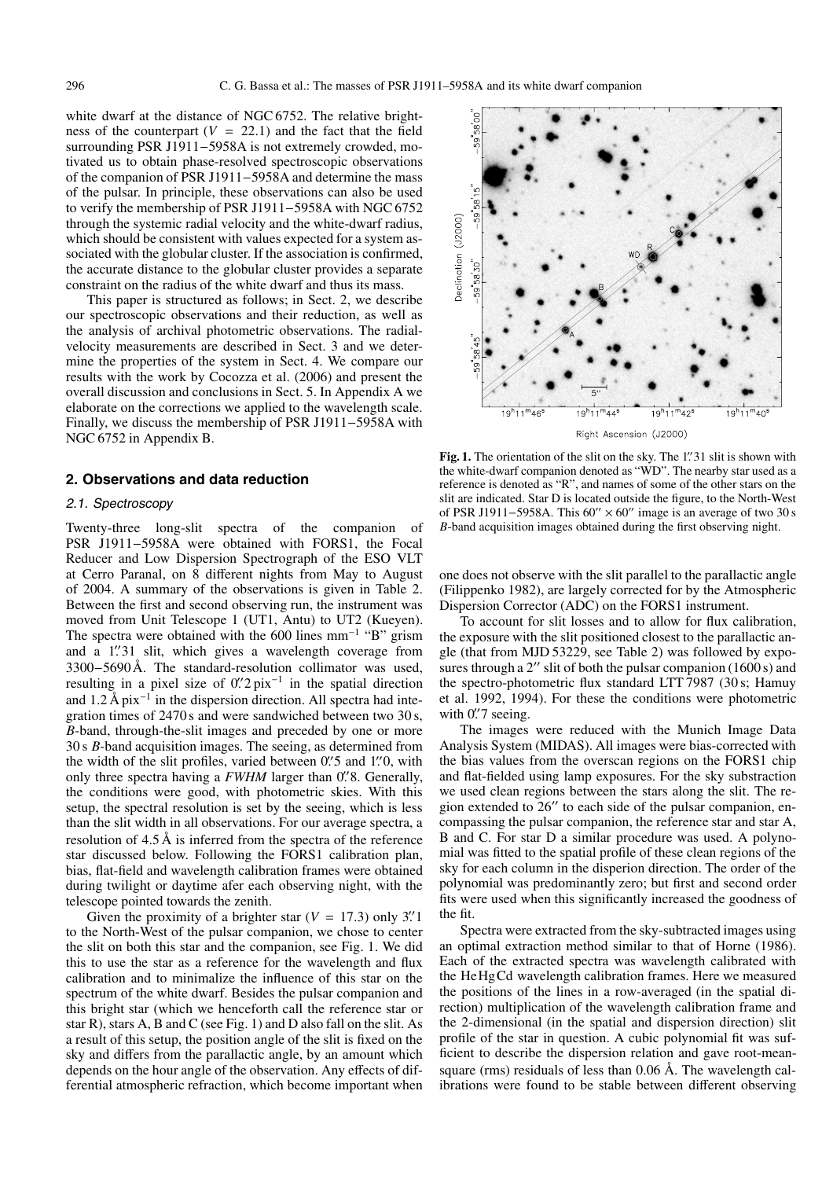white dwarf at the distance of NGC 6752. The relative brightness of the counterpart  $(V = 22.1)$  and the fact that the field surrounding PSR J1911−5958A is not extremely crowded, motivated us to obtain phase-resolved spectroscopic observations of the companion of PSR J1911−5958A and determine the mass of the pulsar. In principle, these observations can also be used to verify the membership of PSR J1911−5958A with NGC 6752 through the systemic radial velocity and the white-dwarf radius, which should be consistent with values expected for a system associated with the globular cluster. If the association is confirmed, the accurate distance to the globular cluster provides a separate constraint on the radius of the white dwarf and thus its mass.

This paper is structured as follows; in Sect. 2, we describe our spectroscopic observations and their reduction, as well as the analysis of archival photometric observations. The radialvelocity measurements are described in Sect. 3 and we determine the properties of the system in Sect. 4. We compare our results with the work by Cocozza et al. (2006) and present the overall discussion and conclusions in Sect. 5. In Appendix A we elaborate on the corrections we applied to the wavelength scale. Finally, we discuss the membership of PSR J1911−5958A with NGC 6752 in Appendix B.

#### **2. Observations and data reduction**

## 2.1. Spectroscopy

Twenty-three long-slit spectra of the companion of PSR J1911−5958A were obtained with FORS1, the Focal Reducer and Low Dispersion Spectrograph of the ESO VLT at Cerro Paranal, on 8 different nights from May to August of 2004. A summary of the observations is given in Table 2. Between the first and second observing run, the instrument was moved from Unit Telescope 1 (UT1, Antu) to UT2 (Kueyen). The spectra were obtained with the 600 lines mm<sup>-1</sup> "B" grism and a 1'31 slit, which gives a wavelength coverage from<br>3300–5690 Å The standard-resolution collimator was used 3300−5690 Å. The standard-resolution collimator was used, resulting in a pixel size of  $0.'2$  pix<sup>-1</sup> in the spatial direction<br>and  $1.2 \text{ Å}$  pix<sup>-1</sup> in the dispersion direction. All spectra had inte and  $1.2 \text{ Å pix}^{-1}$  in the dispersion direction. All spectra had integration times of 2470s and were sandwiched between two 30s. *B*-band, through-the-slit images and preceded by one or more 30 s *B*-band acquisition images. The seeing, as determined from the width of the slit profiles, varied between  $0''$  5 and 1<sup>'</sup>. O, with only three spectra having a *FWHM* larger than  $0''$  8. Generally only three spectra having a *FWHM* larger than 0. <sup>7</sup>8. Generally, the conditions were good with photometric skies. With this the conditions were good, with photometric skies. With this setup, the spectral resolution is set by the seeing, which is less than the slit width in all observations. For our average spectra, a resolution of 4.5 Å is inferred from the spectra of the reference star discussed below. Following the FORS1 calibration plan, bias, flat-field and wavelength calibration frames were obtained during twilight or daytime afer each observing night, with the telescope pointed towards the zenith.

Given the proximity of a brighter star  $(V = 17.3)$  only 3".<sup>1</sup> to the North-West of the pulsar companion, we chose to center the slit on both this star and the companion, see Fig. 1. We did this to use the star as a reference for the wavelength and flux calibration and to minimalize the influence of this star on the spectrum of the white dwarf. Besides the pulsar companion and this bright star (which we henceforth call the reference star or star R), stars A, B and C (see Fig. 1) and D also fall on the slit. As a result of this setup, the position angle of the slit is fixed on the sky and differs from the parallactic angle, by an amount which depends on the hour angle of the observation. Any effects of differential atmospheric refraction, which become important when



**Fig. 1.** The orientation of the slit on the sky. The 1''31 slit is shown with the white-dwarf companion denoted as "WD". The nearby star used as a the white-dwarf companion denoted as "WD". The nearby star used as a reference is denoted as "R", and names of some of the other stars on the slit are indicated. Star D is located outside the figure, to the North-West of PSR J1911–5958A. This 60" × 60" image is an average of two 30 s *B*-band acquisition images obtained during the first observing night.

one does not observe with the slit parallel to the parallactic angle (Filippenko 1982), are largely corrected for by the Atmospheric Dispersion Corrector (ADC) on the FORS1 instrument.

To account for slit losses and to allow for flux calibration, the exposure with the slit positioned closest to the parallactic angle (that from MJD 53229, see Table 2) was followed by exposures through a 2" slit of both the pulsar companion (1600 s) and the spectro-photometric flux standard LTT 7987 (30 s; Hamuy et al. 1992, 1994). For these the conditions were photometric with 0.'7 seeing.<br>The images

The images were reduced with the Munich Image Data Analysis System (MIDAS). All images were bias-corrected with the bias values from the overscan regions on the FORS1 chip and flat-fielded using lamp exposures. For the sky substraction we used clean regions between the stars along the slit. The region extended to  $26''$  to each side of the pulsar companion, encompassing the pulsar companion, the reference star and star A, B and C. For star D a similar procedure was used. A polynomial was fitted to the spatial profile of these clean regions of the sky for each column in the disperion direction. The order of the polynomial was predominantly zero; but first and second order fits were used when this significantly increased the goodness of the fit.

Spectra were extracted from the sky-subtracted images using an optimal extraction method similar to that of Horne (1986). Each of the extracted spectra was wavelength calibrated with the HeHgCd wavelength calibration frames. Here we measured the positions of the lines in a row-averaged (in the spatial direction) multiplication of the wavelength calibration frame and the 2-dimensional (in the spatial and dispersion direction) slit profile of the star in question. A cubic polynomial fit was sufficient to describe the dispersion relation and gave root-meansquare (rms) residuals of less than 0.06 Å. The wavelength calibrations were found to be stable between different observing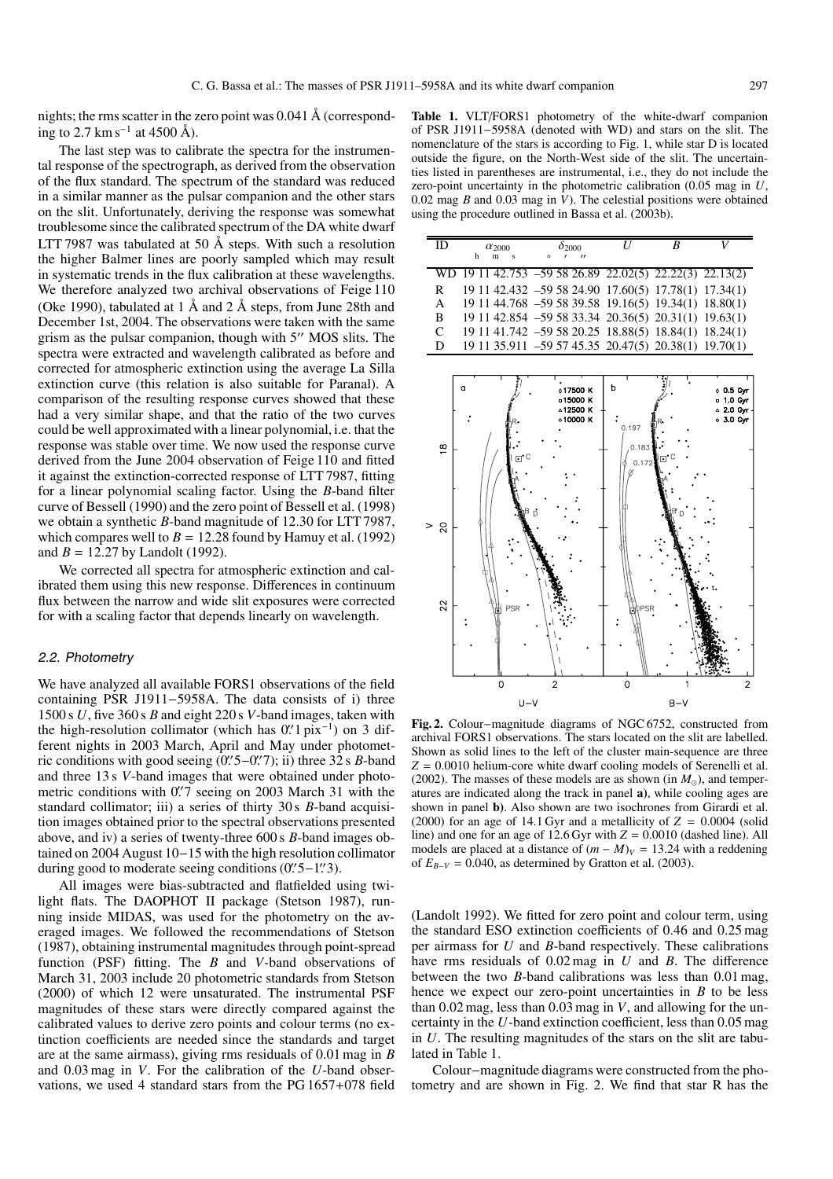nights; the rms scatter in the zero point was 0.041 Å (corresponding to 2.7 km s<sup> $-1$ </sup> at 4500 Å).

The last step was to calibrate the spectra for the instrumental response of the spectrograph, as derived from the observation of the flux standard. The spectrum of the standard was reduced in a similar manner as the pulsar companion and the other stars on the slit. Unfortunately, deriving the response was somewhat troublesome since the calibrated spectrum of the DA white dwarf LTT 7987 was tabulated at 50 Å steps. With such a resolution the higher Balmer lines are poorly sampled which may result in systematic trends in the flux calibration at these wavelengths. We therefore analyzed two archival observations of Feige 110 (Oke 1990), tabulated at 1  $\AA$  and 2  $\AA$  steps, from June 28th and December 1st, 2004. The observations were taken with the same grism as the pulsar companion, though with  $5$ " MOS slits. The spectra were extracted and wavelength calibrated as before and corrected for atmospheric extinction using the average La Silla extinction curve (this relation is also suitable for Paranal). A comparison of the resulting response curves showed that these had a very similar shape, and that the ratio of the two curves could be well approximated with a linear polynomial, i.e. that the response was stable over time. We now used the response curve derived from the June 2004 observation of Feige 110 and fitted it against the extinction-corrected response of LTT 7987, fitting for a linear polynomial scaling factor. Using the *B*-band filter curve of Bessell (1990) and the zero point of Bessell et al. (1998) we obtain a synthetic *B*-band magnitude of 12.30 for LTT 7987, which compares well to  $B = 12.28$  found by Hamuy et al. (1992) and  $B = 12.27$  by Landolt (1992).

We corrected all spectra for atmospheric extinction and calibrated them using this new response. Differences in continuum flux between the narrow and wide slit exposures were corrected for with a scaling factor that depends linearly on wavelength.

#### 2.2. Photometry

We have analyzed all available FORS1 observations of the field containing PSR J1911−5958A. The data consists of i) three 1500 s *U*, five 360 s *B* and eight 220 s *V*-band images, taken with the high-resolution collimator (which has  $0.'1$  pix<sup>-1</sup>) on 3 different nights in 2003 March. April and May under photometferent nights in 2003 March, April and May under photometric conditions with good seeing (0'. 5–0'. (7); ii) three 32 s *B*-band and three 13 s *V*-band images that were obtained under photoand three 13 s *V*-band images that were obtained under photometric conditions with 0. T seeing on 2003 March 31 with the standard collimator: iii) a series of thirty 30 s *B*-band acquisistandard collimator; iii) a series of thirty 30 s *B*-band acquisition images obtained prior to the spectral observations presented above, and iv) a series of twenty-three 600 s *B*-band images obtained on 2004 August 10−15 with the high resolution collimator during good to moderate seeing conditions (0"5–1"3).<br>All images were bias subtracted and flatfielded u

All images were bias-subtracted and flatfielded using twilight flats. The DAOPHOT II package (Stetson 1987), running inside MIDAS, was used for the photometry on the averaged images. We followed the recommendations of Stetson (1987), obtaining instrumental magnitudes through point-spread function (PSF) fitting. The *B* and *V*-band observations of March 31, 2003 include 20 photometric standards from Stetson (2000) of which 12 were unsaturated. The instrumental PSF magnitudes of these stars were directly compared against the calibrated values to derive zero points and colour terms (no extinction coefficients are needed since the standards and target are at the same airmass), giving rms residuals of 0.01 mag in *B* and 0.03 mag in *V*. For the calibration of the *U*-band observations, we used 4 standard stars from the PG 1657+078 field

**Table 1.** VLT/FORS1 photometry of the white-dwarf companion of PSR J1911−5958A (denoted with WD) and stars on the slit. The nomenclature of the stars is according to Fig. 1, while star D is located outside the figure, on the North-West side of the slit. The uncertainties listed in parentheses are instrumental, i.e., they do not include the zero-point uncertainty in the photometric calibration (0.05 mag in *U*, 0.02 mag *B* and 0.03 mag in *V*). The celestial positions were obtained using the procedure outlined in Bassa et al. (2003b).

| - ID | $\alpha_{2000}$<br>h<br>m<br>Ś                          | $\delta_{2000}$<br>$\circ$<br>$^{\prime\prime}$      | R |  |
|------|---------------------------------------------------------|------------------------------------------------------|---|--|
|      | WD 19 11 42.753 -59 58 26.89 22.02(5) 22.22(3) 22.13(2) |                                                      |   |  |
| R    |                                                         | 19 11 42.432 -59 58 24.90 17.60(5) 17.78(1) 17.34(1) |   |  |
| A    |                                                         | 19 11 44.768 -59 58 39.58 19.16(5) 19.34(1) 18.80(1) |   |  |
| B    |                                                         | 19 11 42.854 -59 58 33.34 20.36(5) 20.31(1) 19.63(1) |   |  |
| C    |                                                         | 19 11 41.742 -59 58 20.25 18.88(5) 18.84(1) 18.24(1) |   |  |
| D    |                                                         | 19 11 35.911 -59 57 45.35 20.47(5) 20.38(1) 19.70(1) |   |  |



**Fig. 2.** Colour−magnitude diagrams of NGC 6752, constructed from archival FORS1 observations. The stars located on the slit are labelled. Shown as solid lines to the left of the cluster main-sequence are three *<sup>Z</sup>* <sup>=</sup> <sup>0</sup>.0010 helium-core white dwarf cooling models of Serenelli et al. (2002). The masses of these models are as shown (in  $M_{\odot}$ ), and temperatures are indicated along the track in panel **a)**, while cooling ages are shown in panel **b)**. Also shown are two isochrones from Girardi et al. (2000) for an age of 14.1 Gyr and a metallicity of  $Z = 0.0004$  (solid line) and one for an age of  $12.6$  Gyr with  $Z = 0.0010$  (dashed line). All models are placed at a distance of  $(m - M)<sub>V</sub> = 13.24$  with a reddening of  $E_{B-V} = 0.040$ , as determined by Gratton et al. (2003).

(Landolt 1992). We fitted for zero point and colour term, using the standard ESO extinction coefficients of 0.46 and 0.25 mag per airmass for *U* and *B*-band respectively. These calibrations have rms residuals of 0.02 mag in *U* and *B*. The difference between the two *B*-band calibrations was less than 0.01 mag, hence we expect our zero-point uncertainties in *B* to be less than 0.02 mag, less than 0.03 mag in *V*, and allowing for the uncertainty in the *U*-band extinction coefficient, less than 0.05 mag in *U*. The resulting magnitudes of the stars on the slit are tabulated in Table 1.

Colour−magnitude diagrams were constructed from the photometry and are shown in Fig. 2. We find that star R has the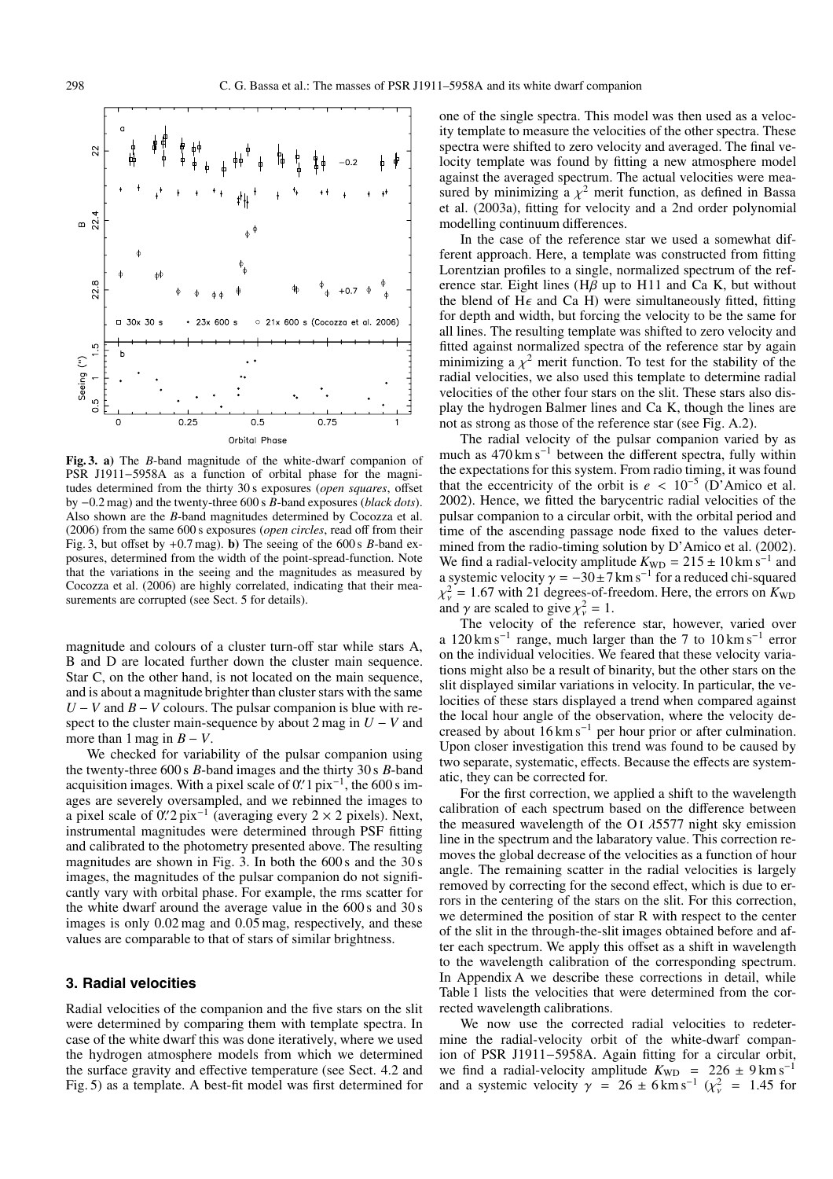

**Fig. 3. a)** The *B*-band magnitude of the white-dwarf companion of PSR J1911−5958A as a function of orbital phase for the magnitudes determined from the thirty 30 s exposures (*open squares*, offset by <sup>−</sup>0.2 mag) and the twenty-three 600 s *<sup>B</sup>*-band exposures (*black dots*). Also shown are the *B*-band magnitudes determined by Cocozza et al. (2006) from the same 600 s exposures (*open circles*, read off from their Fig. 3, but offset by +0.7 mag). **b)** The seeing of the 600 s *B*-band exposures, determined from the width of the point-spread-function. Note that the variations in the seeing and the magnitudes as measured by Cocozza et al. (2006) are highly correlated, indicating that their measurements are corrupted (see Sect. 5 for details).

magnitude and colours of a cluster turn-off star while stars A, B and D are located further down the cluster main sequence. Star C, on the other hand, is not located on the main sequence, and is about a magnitude brighter than cluster stars with the same *U* − *V* and *B* − *V* colours. The pulsar companion is blue with respect to the cluster main-sequence by about 2 mag in  $U - V$  and more than 1 mag in  $B - V$ .

We checked for variability of the pulsar companion using the twenty-three 600 s *B*-band images and the thirty 30 s *B*-band acquisition images. With a pixel scale of  $0'.1$  pix<sup>-1</sup>, the 600 s im-<br>ages are severely oversampled, and we rebinned the images to ages are severely oversampled, and we rebinned the images to a pixel scale of  $0.'2$  pix<sup>-1</sup> (averaging every 2 × 2 pixels). Next, instrumental magnitudes were determined through PSF fitting instrumental magnitudes were determined through PSF fitting and calibrated to the photometry presented above. The resulting magnitudes are shown in Fig. 3. In both the 600 s and the 30 s images, the magnitudes of the pulsar companion do not significantly vary with orbital phase. For example, the rms scatter for the white dwarf around the average value in the 600 s and 30 s images is only 0.02 mag and 0.05 mag, respectively, and these values are comparable to that of stars of similar brightness.

# **3. Radial velocities**

Radial velocities of the companion and the five stars on the slit were determined by comparing them with template spectra. In case of the white dwarf this was done iteratively, where we used the hydrogen atmosphere models from which we determined the surface gravity and effective temperature (see Sect. 4.2 and Fig. 5) as a template. A best-fit model was first determined for

one of the single spectra. This model was then used as a velocity template to measure the velocities of the other spectra. These spectra were shifted to zero velocity and averaged. The final velocity template was found by fitting a new atmosphere model against the averaged spectrum. The actual velocities were measured by minimizing a  $\chi^2$  merit function, as defined in Bassa et al. (2003a), fitting for velocity and a 2nd order polynomial modelling continuum differences.

In the case of the reference star we used a somewhat different approach. Here, a template was constructed from fitting Lorentzian profiles to a single, normalized spectrum of the reference star. Eight lines ( $H\beta$  up to H11 and Ca K, but without the blend of  $H\epsilon$  and Ca H) were simultaneously fitted, fitting for depth and width, but forcing the velocity to be the same for all lines. The resulting template was shifted to zero velocity and fitted against normalized spectra of the reference star by again minimizing a  $\chi^2$  merit function. To test for the stability of the radial velocities, we also used this template to determine radial velocities of the other four stars on the slit. These stars also display the hydrogen Balmer lines and Ca K, though the lines are not as strong as those of the reference star (see Fig. A.2).

The radial velocity of the pulsar companion varied by as much as  $470 \text{ km s}^{-1}$  between the different spectra, fully within the expectations for this system. From radio timing, it was found that the eccentricity of the orbit is  $e < 10^{-5}$  (D'Amico et al. 2002). Hence, we fitted the barycentric radial velocities of the pulsar companion to a circular orbit, with the orbital period and time of the ascending passage node fixed to the values determined from the radio-timing solution by D'Amico et al. (2002). We find a radial-velocity amplitude  $K_{WD} = 215 \pm 10 \,\mathrm{km \, s^{-1}}$  and a systemic velocity  $\gamma = -30\pm7$  km s<sup>-1</sup> for a reduced chi-squared  $\chi^2_{\nu} = 1.67$  with 21 degrees-of-freedom. Here, the errors on  $K_{\text{WD}}$ <br>and  $\gamma$  are scaled to give  $\nu^2 = 1$ and  $\gamma$  are scaled to give  $\chi^2_{\nu} = 1$ .<br>The velocity of the refere

The velocity of the reference star, however, varied over a 120 km s−<sup>1</sup> range, much larger than the 7 to 10 km s−<sup>1</sup> error on the individual velocities. We feared that these velocity variations might also be a result of binarity, but the other stars on the slit displayed similar variations in velocity. In particular, the velocities of these stars displayed a trend when compared against the local hour angle of the observation, where the velocity decreased by about 16 km s−<sup>1</sup> per hour prior or after culmination. Upon closer investigation this trend was found to be caused by two separate, systematic, effects. Because the effects are systematic, they can be corrected for.

For the first correction, we applied a shift to the wavelength calibration of each spectrum based on the difference between the measured wavelength of the O<sub>I</sub>  $\lambda$ 5577 night sky emission line in the spectrum and the labaratory value. This correction removes the global decrease of the velocities as a function of hour angle. The remaining scatter in the radial velocities is largely removed by correcting for the second effect, which is due to errors in the centering of the stars on the slit. For this correction, we determined the position of star R with respect to the center of the slit in the through-the-slit images obtained before and after each spectrum. We apply this offset as a shift in wavelength to the wavelength calibration of the corresponding spectrum. In Appendix A we describe these corrections in detail, while Table 1 lists the velocities that were determined from the corrected wavelength calibrations.

We now use the corrected radial velocities to redetermine the radial-velocity orbit of the white-dwarf companion of PSR J1911−5958A. Again fitting for a circular orbit, we find a radial-velocity amplitude  $K_{WD}$  = 226 ± 9 km s<sup>-1</sup> and a systemic velocity  $\gamma = 26 \pm 6 \text{ km s}^{-1}$  ( $\chi^2_{\nu} = 1.45$  for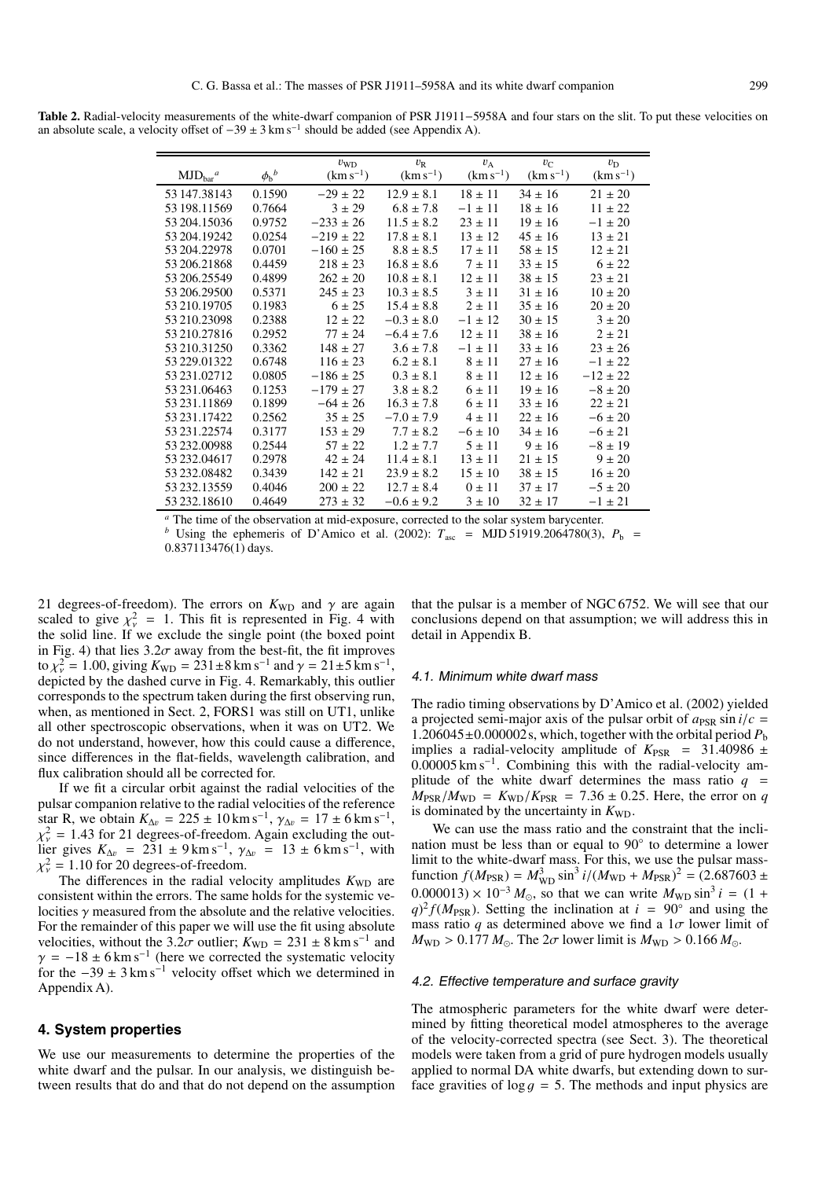**Table 2.** Radial-velocity measurements of the white-dwarf companion of PSR J1911−5958A and four stars on the slit. To put these velocities on an absolute scale, a velocity offset of  $-39 \pm 3 \text{ km s}^{-1}$  should be added (see Appendix A).

| $MJDbar$ <sup>a</sup> | $\phi_{\rm b}{}^b$ | $v_{WD}$<br>$(km s^{-1})$ | $v_{R}$<br>$(km s^{-1})$ | $v_A$<br>$(km s^{-1})$ | $v_{\rm C}$<br>$(km s^{-1})$ | $v_{\rm D}$<br>$(km s^{-1})$ |
|-----------------------|--------------------|---------------------------|--------------------------|------------------------|------------------------------|------------------------------|
| 53 147 38 143         | 0.1590             | $-29 \pm 22$              | $12.9 \pm 8.1$           | $18 \pm 11$            | $34 \pm 16$                  | $21 \pm 20$                  |
| 53 198.11569          | 0.7664             | $3 \pm 29$                | $6.8 \pm 7.8$            | $-1 \pm 11$            | $18 \pm 16$                  | $11 \pm 22$                  |
| 53 204.15036          | 0.9752             | $-233 \pm 26$             | $11.5 \pm 8.2$           | $23 \pm 11$            | $19 \pm 16$                  | $-1 \pm 20$                  |
| 53 204.19242          | 0.0254             | $-219 \pm 22$             | $17.8 \pm 8.1$           | $13 \pm 12$            | $45 \pm 16$                  | $13 \pm 21$                  |
| 53 204.22978          | 0.0701             | $-160 \pm 25$             | $8.8 \pm 8.5$            | $17 \pm 11$            | $58 \pm 15$                  | $12 \pm 21$                  |
| 53 206.21868          | 0.4459             | $218 \pm 23$              | $16.8 \pm 8.6$           | $7 \pm 11$             | $33 \pm 15$                  | $6 \pm 22$                   |
| 53 206.25549          | 0.4899             | $262 \pm 20$              | $10.8 \pm 8.1$           | $12 \pm 11$            | $38 \pm 15$                  | $23 + 21$                    |
| 53 206.29500          | 0.5371             | $245 \pm 23$              | $10.3 \pm 8.5$           | $3 \pm 11$             | $31 \pm 16$                  | $10 \pm 20$                  |
| 53 210.19705          | 0.1983             | $6 \pm 25$                | $15.4 \pm 8.8$           | $2 \pm 11$             | $35 \pm 16$                  | $20 \pm 20$                  |
| 53 210.23098          | 0.2388             | $12 \pm 22$               | $-0.3 \pm 8.0$           | $-1 \pm 12$            | $30 \pm 15$                  | $3 \pm 20$                   |
| 53 210.27816          | 0.2952             | $77 \pm 24$               | $-6.4 \pm 7.6$           | $12 \pm 11$            | $38 \pm 16$                  | $2 \pm 21$                   |
| 53 210.31250          | 0.3362             | $148 \pm 27$              | $3.6 \pm 7.8$            | $-1 \pm 11$            | $33 \pm 16$                  | $23 \pm 26$                  |
| 53 229,01322          | 0.6748             | $116 \pm 23$              | $6.2 \pm 8.1$            | $8 \pm 11$             | $27 \pm 16$                  | $-1 \pm 22$                  |
| 53 231 02712          | 0.0805             | $-186 \pm 25$             | $0.3 \pm 8.1$            | $8 \pm 11$             | $12 \pm 16$                  | $-12 \pm 22$                 |
| 53 231,06463          | 0.1253             | $-179 \pm 27$             | $3.8 \pm 8.2$            | $6 \pm 11$             | $19 \pm 16$                  | $-8 \pm 20$                  |
| 53 231.11869          | 0.1899             | $-64 \pm 26$              | $16.3 \pm 7.8$           | $6 \pm 11$             | $33 \pm 16$                  | $22 \pm 21$                  |
| 53 231 17422          | 0.2562             | $35 \pm 25$               | $-7.0 \pm 7.9$           | $4 \pm 11$             | $22 \pm 16$                  | $-6 \pm 20$                  |
| 53 231.22574          | 0.3177             | $153 \pm 29$              | $7.7 \pm 8.2$            | $-6 \pm 10$            | $34 \pm 16$                  | $-6 \pm 21$                  |
| 53 232.00988          | 0.2544             | $57 \pm 22$               | $1.2 + 7.7$              | $5 \pm 11$             | $9 \pm 16$                   | $-8 \pm 19$                  |
| 53 232,04617          | 0.2978             | $42 \pm 24$               | $11.4 \pm 8.1$           | $13 \pm 11$            | $21 \pm 15$                  | $9 \pm 20$                   |
| 53 232,08482          | 0.3439             | $142 + 21$                | $23.9 \pm 8.2$           | $15 \pm 10$            | $38 \pm 15$                  | $16 \pm 20$                  |
| 53 232.13559          | 0.4046             | $200 \pm 22$              | $12.7 \pm 8.4$           | $0 \pm 11$             | $37 \pm 17$                  | $-5 \pm 20$                  |
| 53 232, 18610         | 0.4649             | $273 \pm 32$              | $-0.6 \pm 9.2$           | $3 \pm 10$             | $32 \pm 17$                  | $-1 \pm 21$                  |

*<sup>a</sup>* The time of the observation at mid-exposure, corrected to the solar system barycenter.

*b* Using the ephemeris of D'Amico et al. (2002):  $T_{\text{asc}} = \text{MJD } 51919.2064780(3)$ ,  $P_{\text{b}} =$ <sup>0</sup>.837113476(1) days.

21 degrees-of-freedom). The errors on  $K_{WD}$  and  $\gamma$  are again scaled to give  $v^2 = 1$  This fit is represented in Fig. 4 with scaled to give  $\chi^2_{\nu} = 1$ . This fit is represented in Fig. 4 with the solid line. If we exclude the single point (the boxed point the solid line. If we exclude the single point (the boxed point in Fig. 4) that lies  $3.2\sigma$  away from the best-fit, the fit improves to  $\chi^2_{\gamma} = 1.00$ , giving  $K_{\text{WD}} = 231 \pm 8 \text{ km s}^{-1}$  and  $\gamma = 21 \pm 5 \text{ km s}^{-1}$ ,<br>depicted by the dashed curve in Fig. 4. Remarkably, this outlier depicted by the dashed curve in Fig. 4. Remarkably, this outlier corresponds to the spectrum taken during the first observing run, when, as mentioned in Sect. 2, FORS1 was still on UT1, unlike all other spectroscopic observations, when it was on UT2. We do not understand, however, how this could cause a difference, since differences in the flat-fields, wavelength calibration, and flux calibration should all be corrected for.

If we fit a circular orbit against the radial velocities of the pulsar companion relative to the radial velocities of the reference star R, we obtain  $K_{\Delta v} = 225 \pm 10 \text{ km s}^{-1}$ ,  $\gamma_{\Delta v} = 17 \pm 6 \text{ km s}^{-1}$ ,  $\chi^2_{\nu} = 1.43$  for 21 degrees-of-freedom. Again excluding the out-<br>lier gives  $K_{\lambda\mu} = 231 + 9$  km s<sup>-1</sup>  $\gamma_{\lambda\mu} = 13 + 6$  km s<sup>-1</sup> with lier gives  $K_{\Delta v} = 231 \pm 9 \text{ km s}^{-1}$ ,  $\gamma_{\Delta v} = 13 \pm 6 \text{ km s}^{-1}$ , with  $\chi^2_{\nu} = 1.10$  for 20 degrees-of-freedom.<br>The differences in the radial velocity

The differences in the radial velocity amplitudes  $K_{WD}$  are consistent within the errors. The same holds for the systemic velocities  $\gamma$  measured from the absolute and the relative velocities. For the remainder of this paper we will use the fit using absolute velocities, without the 3.2 $\sigma$  outlier;  $K_{WD} = 231 \pm 8 \text{ km s}^{-1}$  and  $\gamma = -18 \pm 6 \text{ km s}^{-1}$  (here we corrected the systematic velocity for the  $-39 \pm 3 \text{ km s}^{-1}$  velocity offset which we determined in Appendix A).

#### **4. System properties**

We use our measurements to determine the properties of the white dwarf and the pulsar. In our analysis, we distinguish between results that do and that do not depend on the assumption that the pulsar is a member of NGC 6752. We will see that our conclusions depend on that assumption; we will address this in detail in Appendix B.

#### 4.1. Minimum white dwarf mass

The radio timing observations by D'Amico et al. (2002) yielded a projected semi-major axis of the pulsar orbit of  $a_{PSR}$  sin  $i/c =$  $1.206045\pm0.000002$  s, which, together with the orbital period  $P<sub>b</sub>$ implies a radial-velocity amplitude of  $K_{PSR}$  = 31.40986  $\pm$ <sup>0</sup>.00005 km s−1. Combining this with the radial-velocity amplitude of the white dwarf determines the mass ratio  $q =$  $M_{PSR}/M_{WD} = K_{WD}/K_{PSR} = 7.36 \pm 0.25$ . Here, the error on *q* is dominated by the uncertainty in  $K_{WD}$ .

We can use the mass ratio and the constraint that the inclination must be less than or equal to 90<sup>°</sup> to determine a lower limit to the white-dwarf mass. For this, we use the pulsar massfunction  $f(M_{PSR}) = M_{\text{WD}}^3 \sin^3 i / (M_{\text{WD}} + M_{PSR})^2 = (2.687603 \pm 0.000013) \times 10^{-3} M_{\text{QCD}}$  sin<sup>3</sup> i m (1)  $0.000013 \times 10^{-3} M_{\odot}$ , so that we can write  $M_{WD} \sin^3 i = (1 + a)^2 f(M_{\rm bcp})$ . Setting the inclination at  $i = 90^{\circ}$  and using the  $q$ <sup>2</sup> $f(M_{PSR})$ . Setting the inclination at *i* = 90° and using the mass ratio *q* as determined above we find a  $1\sigma$  lower limit of  $M_{\text{WD}} > 0.177 M_{\odot}$ . The  $2\sigma$  lower limit is  $M_{\text{WD}} > 0.166 M_{\odot}$ .

#### 4.2. Effective temperature and surface gravity

The atmospheric parameters for the white dwarf were determined by fitting theoretical model atmospheres to the average of the velocity-corrected spectra (see Sect. 3). The theoretical models were taken from a grid of pure hydrogen models usually applied to normal DA white dwarfs, but extending down to surface gravities of  $\log g = 5$ . The methods and input physics are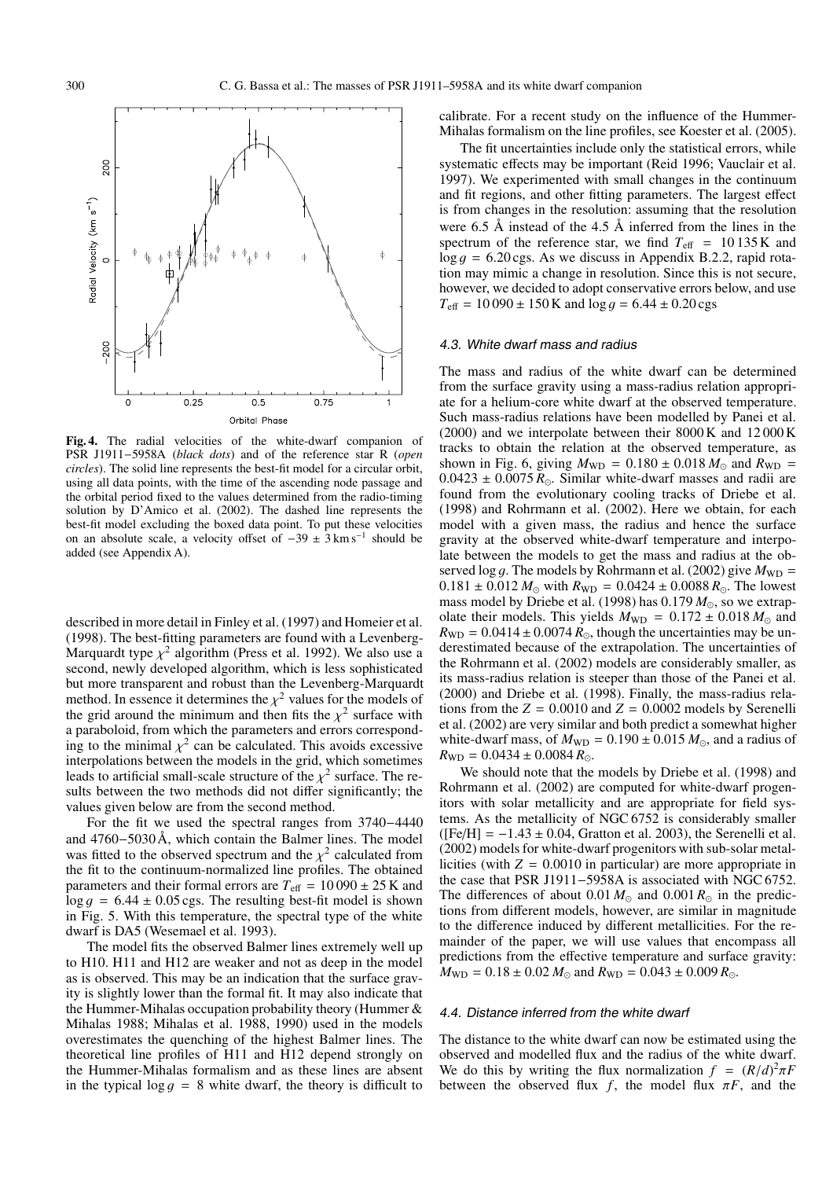

**Fig. 4.** The radial velocities of the white-dwarf companion of PSR J1911−5958A (*black dots*) and of the reference star R (*open circles*). The solid line represents the best-fit model for a circular orbit, using all data points, with the time of the ascending node passage and the orbital period fixed to the values determined from the radio-timing solution by D'Amico et al. (2002). The dashed line represents the best-fit model excluding the boxed data point. To put these velocities on an absolute scale, a velocity offset of  $-39 \pm 3 \text{ km s}^{-1}$  should be added (see Appendix A).

described in more detail in Finley et al. (1997) and Homeier et al. (1998). The best-fitting parameters are found with a Levenberg-Marquardt type  $\chi^2$  algorithm (Press et al. 1992). We also use a second, newly developed algorithm, which is less sophisticated but more transparent and robust than the Levenberg-Marquardt method. In essence it determines the  $\chi^2$  values for the models of the grid around the minimum and then fits the  $\chi^2$  surface with a paraboloid, from which the parameters and errors corresponding to the minimal  $\chi^2$  can be calculated. This avoids excessive interpolations between the models in the grid, which sometimes leads to artificial small-scale structure of the  $\chi^2$  surface. The results between the two methods did not differ significantly; the values given below are from the second method.

For the fit we used the spectral ranges from 3740−4440 and 4760−5030 Å, which contain the Balmer lines. The model was fitted to the observed spectrum and the  $\chi^2$  calculated from the fit to the continuum-normalized line profiles. The obtained parameters and their formal errors are  $T_{\text{eff}} = 10090 \pm 25 \text{ K}$  and  $\log g = 6.44 \pm 0.05 \text{ cgs}$ . The resulting best-fit model is shown in Fig. 5. With this temperature, the spectral type of the white dwarf is DA5 (Wesemael et al. 1993).

The model fits the observed Balmer lines extremely well up to H10. H11 and H12 are weaker and not as deep in the model as is observed. This may be an indication that the surface gravity is slightly lower than the formal fit. It may also indicate that the Hummer-Mihalas occupation probability theory (Hummer & Mihalas 1988; Mihalas et al. 1988, 1990) used in the models overestimates the quenching of the highest Balmer lines. The theoretical line profiles of H11 and H12 depend strongly on the Hummer-Mihalas formalism and as these lines are absent in the typical  $\log g = 8$  white dwarf, the theory is difficult to

calibrate. For a recent study on the influence of the Hummer-Mihalas formalism on the line profiles, see Koester et al. (2005).

The fit uncertainties include only the statistical errors, while systematic effects may be important (Reid 1996; Vauclair et al. 1997). We experimented with small changes in the continuum and fit regions, and other fitting parameters. The largest effect is from changes in the resolution: assuming that the resolution were 6.5 Å instead of the 4.5 Å inferred from the lines in the spectrum of the reference star, we find  $T_{\text{eff}}$  = 10 135 K and  $\log g = 6.20 \text{ cgs}$ . As we discuss in Appendix B.2.2, rapid rotation may mimic a change in resolution. Since this is not secure, however, we decided to adopt conservative errors below, and use  $T_{\text{eff}} = 10090 \pm 150 \,\text{K}$  and  $\log g = 6.44 \pm 0.20 \,\text{cgs}$ 

#### 4.3. White dwarf mass and radius

The mass and radius of the white dwarf can be determined from the surface gravity using a mass-radius relation appropriate for a helium-core white dwarf at the observed temperature. Such mass-radius relations have been modelled by Panei et al. (2000) and we interpolate between their 8000 K and 12 000 K tracks to obtain the relation at the observed temperature, as shown in Fig. 6, giving  $M_{WD} = 0.180 \pm 0.018 M_{\odot}$  and  $R_{WD} = 0.0423 + 0.0075 R_{\odot}$  Similar white-dwarf masses and radii are  $0.0423 \pm 0.0075 R_{\odot}$ . Similar white-dwarf masses and radii are found from the evolutionary cooling tracks of Driebe et all found from the evolutionary cooling tracks of Driebe et al. (1998) and Rohrmann et al. (2002). Here we obtain, for each model with a given mass, the radius and hence the surface gravity at the observed white-dwarf temperature and interpolate between the models to get the mass and radius at the observed  $\log g$ . The models by Rohrmann et al. (2002) give  $M_{WD}$  =  $0.181 \pm 0.012 M_{\odot}$  with  $R_{WD} = 0.0424 \pm 0.0088 R_{\odot}$ . The lowest mass model by Driebe et al. (1998) has 0.179  $M_{\odot}$  so we extranmass model by Driebe et al.  $(1998)$  has  $0.179 M_{\odot}$ , so we extrapolate their models. This yields  $M_{WD} = 0.172 \pm 0.018 M_{\odot}$  and  $R_{WD} = 0.0414 + 0.0074 R_{\odot}$  though the uncertainties may be un- $R_{\text{WD}} = 0.0414 \pm 0.0074 R_{\odot}$ , though the uncertainties may be un-<br>derestimated because of the extrapolation. The uncertainties of derestimated because of the extrapolation. The uncertainties of the Rohrmann et al. (2002) models are considerably smaller, as its mass-radius relation is steeper than those of the Panei et al. (2000) and Driebe et al. (1998). Finally, the mass-radius relations from the  $Z = 0.0010$  and  $Z = 0.0002$  models by Serenelli et al. (2002) are very similar and both predict a somewhat higher white-dwarf mass, of  $M_{WD} = 0.190 \pm 0.015 M_{\odot}$ , and a radius of  $R_{WD} = 0.0434 + 0.0084 R_{\odot}$  $R_{\text{WD}} = 0.0434 \pm 0.0084 R_{\odot}$ .<br>We should note that the

We should note that the models by Driebe et al. (1998) and Rohrmann et al. (2002) are computed for white-dwarf progenitors with solar metallicity and are appropriate for field systems. As the metallicity of NGC 6752 is considerably smaller  $(Fe/H) = -1.43 \pm 0.04$ , Gratton et al. 2003), the Serenelli et al. (2002) models for white-dwarf progenitors with sub-solar metallicities (with  $Z = 0.0010$  in particular) are more appropriate in the case that PSR J1911−5958A is associated with NGC 6752. The differences of about  $0.01 M_{\odot}$  and  $0.001 R_{\odot}$  in the predictions from different models, however, are similar in magnitude to the difference induced by different metallicities. For the remainder of the paper, we will use values that encompass all predictions from the effective temperature and surface gravity:  $M_{\text{WD}} = 0.18 \pm 0.02 M_{\odot}$  and  $R_{\text{WD}} = 0.043 \pm 0.009 R_{\odot}$ .

#### 4.4. Distance inferred from the white dwarf

The distance to the white dwarf can now be estimated using the observed and modelled flux and the radius of the white dwarf. We do this by writing the flux normalization  $f = (R/d)^2 \pi F$ <br>between the observed flux f the model flux  $\pi F$  and the between the observed flux  $f$ , the model flux  $\pi F$ , and the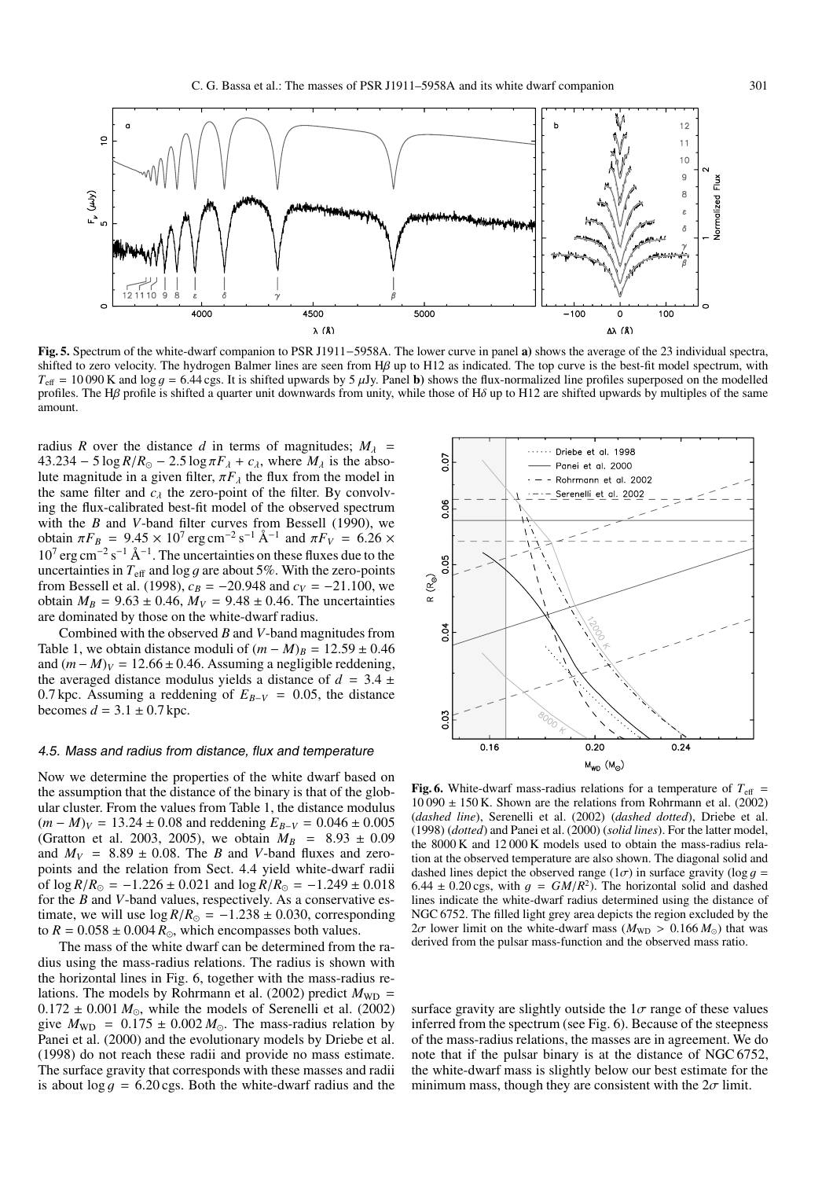

**Fig. 5.** Spectrum of the white-dwarf companion to PSR J1911−5958A. The lower curve in panel **a)** shows the average of the 23 individual spectra, shifted to zero velocity. The hydrogen Balmer lines are seen from Hβ up to H12 as indicated. The top curve is the best-fit model spectrum, with  $T_{\text{eff}}$  = 10 090 K and log g = 6.44 cgs. It is shifted upwards by 5  $\mu$ Jy. Panel **b**) shows the flux-normalized line profiles superposed on the modelled profiles. The H $\beta$  profile is shifted a quarter unit downwards from unity, while those of H $\delta$  up to H12 are shifted upwards by multiples of the same amount.

radius *R* over the distance *d* in terms of magnitudes;  $M_{\lambda}$  =  $43.234 - 5 \log R/R_{\odot} - 2.5 \log \pi F_{\lambda} + c_{\lambda}$ , where  $M_{\lambda}$  is the abso-<br>lute magnitude in a given filter  $\pi F_{\lambda}$  the flux from the model in lute magnitude in a given filter,  $\pi F_\lambda$  the flux from the model in the same filter and  $c_{\lambda}$  the zero-point of the filter. By convolving the flux-calibrated best-fit model of the observed spectrum with the *B* and *V*-band filter curves from Bessell (1990), we obtain  $\pi F_B = 9.45 \times 10^7 \text{ erg cm}^{-2} \text{ s}^{-1} \text{ Å}^{-1}$  and  $\pi F_V = 6.26 \times 10^7 \text{ erg cm}^{-2} \text{ s}^{-1} \text{ Å}^{-1}$ . The uncertainties on these fluxes due to the uncertainties in  $T_{\text{eff}}$  and  $\log g$  are about 5%. With the zero-points from Bessell et al. (1998),  $c_B = -20.948$  and  $c_V = -21.100$ , we obtain  $M_B = 9.63 \pm 0.46$ ,  $M_V = 9.48 \pm 0.46$ . The uncertainties are dominated by those on the white-dwarf radius.

Combined with the observed *B* and *V*-band magnitudes from Table 1, we obtain distance moduli of  $(m - M)_B = 12.59 \pm 0.46$ and  $(m - M)<sub>V</sub> = 12.66 \pm 0.46$ . Assuming a negligible reddening, the averaged distance modulus yields a distance of  $d = 3.4 \pm$ 0.7 kpc. Assuming a reddening of  $E_{B-V} = 0.05$ , the distance becomes  $d = 3.1 \pm 0.7$  kpc.

#### 4.5. Mass and radius from distance, flux and temperature

Now we determine the properties of the white dwarf based on the assumption that the distance of the binary is that of the globular cluster. From the values from Table 1, the distance modulus  $(m - M)_V = 13.24 \pm 0.08$  and reddening  $E_{B-V} = 0.046 \pm 0.005$ (Gratton et al. 2003, 2005), we obtain  $M_B$  = 8.93 ± 0.09 and  $M_V$  = 8.89  $\pm$  0.08. The *B* and *V*-band fluxes and zeropoints and the relation from Sect. 4.4 yield white-dwarf radii of  $\log R/R_{\odot} = -1.226 \pm 0.021$  and  $\log R/R_{\odot} = -1.249 \pm 0.018$ <br>for the *R* and *V*-band values respectively As a conservative esfor the *B* and *V*-band values, respectively. As a conservative estimate, we will use  $\log R/R_{\odot} = -1.238 \pm 0.030$ , corresponding to  $R = 0.058 + 0.004 R_{\odot}$  which encompasses both values to  $R = 0.058 \pm 0.004 R_{\odot}$ , which encompasses both values.<br>The mass of the white dwarf can be determined from the

The mass of the white dwarf can be determined from the radius using the mass-radius relations. The radius is shown with the horizontal lines in Fig. 6, together with the mass-radius relations. The models by Rohrmann et al. (2002) predict  $M_{WD}$  =  $0.172 \pm 0.001 M_{\odot}$ , while the models of Serenelli et al. (2002) oive  $M_{\rm WD} = 0.175 \pm 0.002 M_{\odot}$ . The mass-radius relation by give  $M_{WD} = 0.175 \pm 0.002 M_{\odot}$ . The mass-radius relation by Panei et al. (2000) and the evolutionary models by Driebe et al. Panei et al. (2000) and the evolutionary models by Driebe et al. (1998) do not reach these radii and provide no mass estimate. The surface gravity that corresponds with these masses and radii is about  $\log g = 6.20 \text{ cgs}$ . Both the white-dwarf radius and the



**Fig. 6.** White-dwarf mass-radius relations for a temperature of  $T_{\text{eff}}$  =  $10\,090 \pm 150$  K. Shown are the relations from Rohrmann et al. (2002) (*dashed line*), Serenelli et al. (2002) (*dashed dotted*), Driebe et al. (1998) (*dotted*) and Panei et al. (2000) (*solid lines*). For the latter model, the 8000 K and 12 000 K models used to obtain the mass-radius relation at the observed temperature are also shown. The diagonal solid and dashed lines depict the observed range  $(1\sigma)$  in surface gravity  $(\log g)$ 6.44  $\pm$  0.20 cgs, with  $q = GM/R^2$ ). The horizontal solid and dashed lines indicate the white-dwarf radius determined using the distance of NGC 6752. The filled light grey area depicts the region excluded by the  $2\sigma$  lower limit on the white-dwarf mass ( $M_{\text{WD}} > 0.166 M_{\odot}$ ) that was derived from the pulsar mass-function and the observed mass ratio derived from the pulsar mass-function and the observed mass ratio.

surface gravity are slightly outside the  $1\sigma$  range of these values inferred from the spectrum (see Fig. 6). Because of the steepness of the mass-radius relations, the masses are in agreement. We do note that if the pulsar binary is at the distance of NGC 6752, the white-dwarf mass is slightly below our best estimate for the minimum mass, though they are consistent with the  $2\sigma$  limit.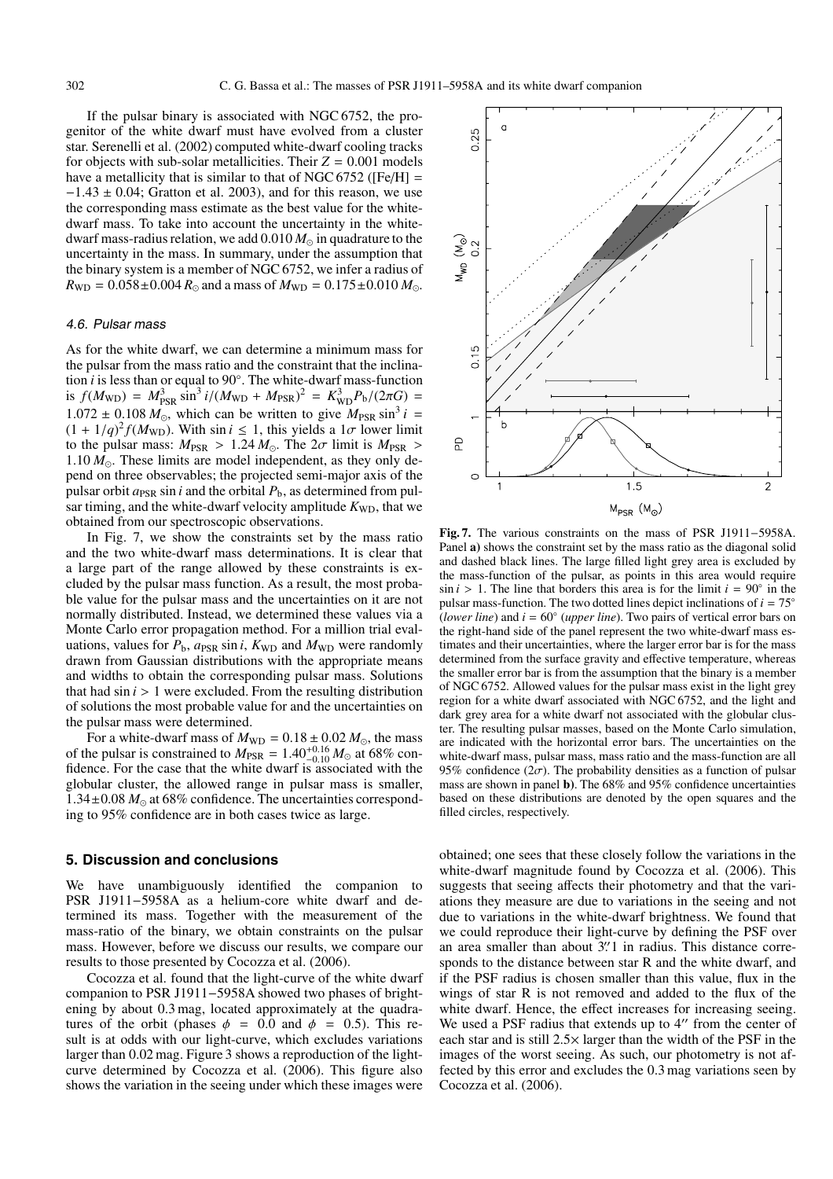If the pulsar binary is associated with NGC 6752, the progenitor of the white dwarf must have evolved from a cluster star. Serenelli et al. (2002) computed white-dwarf cooling tracks for objects with sub-solar metallicities. Their  $Z = 0.001$  models have a metallicity that is similar to that of NGC 6752 ( $[Fe/H]$ )  $-1.43 \pm 0.04$ ; Gratton et al. 2003), and for this reason, we use the corresponding mass estimate as the best value for the whitedwarf mass. To take into account the uncertainty in the whitedwarf mass-radius relation, we add  $0.010 M_{\odot}$  in quadrature to the uncertainty in the mass. In summary, under the assumption that the binary system is a member of NGC 6752, we infer a radius of  $R_{\text{WD}} = 0.058 \pm 0.004 R_{\odot}$  and a mass of  $M_{\text{WD}} = 0.175 \pm 0.010 M_{\odot}$ .

#### 4.6. Pulsar mass

As for the white dwarf, we can determine a minimum mass for the pulsar from the mass ratio and the constraint that the inclination *i* is less than or equal to 90◦. The white-dwarf mass-function is  $f(M_{\text{WD}}) = M_{\text{PSR}}^3 \sin^3 i / (M_{\text{WD}} + M_{\text{PSR}})^2 = K_{\text{WD}}^3 P_{\text{b}} / (2\pi G) =$ <br>1.072 + 0.108 M, which son he written to sixe M, sin<sup>3</sup> i.  $1.072 \pm 0.108 M_{\odot}$ , which can be written to give  $M_{PSR} \sin^3 i =$ <br> $(1 + 1/a)^2 f(M_{WD})$ . With sin  $i < 1$  this yields a  $1\sigma$  lower limit  $(1 + 1/q)^2 f(M_{WD})$ . With sin *i*  $\leq 1$ , this yields a 1*σ* lower limit to the pulsar mass:  $M_{\text{DSP}} > 1.24 M_{\odot}$ . The  $2\sigma$  limit is  $M_{\text{DSP}} > 1.24 M_{\odot}$ . to the pulsar mass:  $M_{PSR} > 1.24 M_{\odot}$ . The  $2\sigma$  limit is  $M_{PSR} > 1.10 M_{\odot}$ . These limits are model independent as they only de-1.10  $M_{\odot}$ . These limits are model independent, as they only depend on three observables: the projected semi-major axis of the pend on three observables; the projected semi-major axis of the pulsar orbit  $a_{PSR}$  sin *i* and the orbital  $P_b$ , as determined from pulsar timing, and the white-dwarf velocity amplitude  $K_{WD}$ , that we obtained from our spectroscopic observations.

In Fig. 7, we show the constraints set by the mass ratio and the two white-dwarf mass determinations. It is clear that a large part of the range allowed by these constraints is excluded by the pulsar mass function. As a result, the most probable value for the pulsar mass and the uncertainties on it are not normally distributed. Instead, we determined these values via a Monte Carlo error propagation method. For a million trial evaluations, values for  $P_b$ ,  $a_{PSR}$  sin *i*,  $K_{WD}$  and  $M_{WD}$  were randomly drawn from Gaussian distributions with the appropriate means and widths to obtain the corresponding pulsar mass. Solutions that had  $\sin i$  > 1 were excluded. From the resulting distribution of solutions the most probable value for and the uncertainties on the pulsar mass were determined.

For a white-dwarf mass of  $M_{WD} = 0.18 \pm 0.02 M_{\odot}$ <br>he pulsar is constrained to  $M_{\text{DSD}} = 1.40^{+0.16} M_{\odot}$  at For a white-dwarf mass of  $M_{WD} = 0.18 \pm 0.02 M_{\odot}$ , the mass of the pulsar is constrained to  $M_{PSR} = 1.40_{-0.16}^{+0.16} M_{\odot}$  at 68% con-<br>fidence. For the case that the white dwarf is associated with the fidence. For the case that the white dwarf is associated with the globular cluster, the allowed range in pulsar mass is smaller,  $1.34 \pm 0.08$   $M_{\odot}$  at 68% confidence. The uncertainties correspond-<br>ing to 95% confidence are in both cases twice as large ing to 95% confidence are in both cases twice as large.

#### **5. Discussion and conclusions**

We have unambiguously identified the companion to PSR J1911−5958A as a helium-core white dwarf and determined its mass. Together with the measurement of the mass-ratio of the binary, we obtain constraints on the pulsar mass. However, before we discuss our results, we compare our results to those presented by Cocozza et al. (2006).

Cocozza et al. found that the light-curve of the white dwarf companion to PSR J1911−5958A showed two phases of brightening by about 0.3 mag, located approximately at the quadratures of the orbit (phases  $\phi = 0.0$  and  $\phi = 0.5$ ). This result is at odds with our light-curve, which excludes variations larger than 0.02 mag. Figure 3 shows a reproduction of the lightcurve determined by Cocozza et al. (2006). This figure also shows the variation in the seeing under which these images were



**Fig. 7.** The various constraints on the mass of PSR J1911−5958A. Panel **a)** shows the constraint set by the mass ratio as the diagonal solid and dashed black lines. The large filled light grey area is excluded by the mass-function of the pulsar, as points in this area would require  $\sin i$  > 1. The line that borders this area is for the limit  $i = 90°$  in the pulsar mass-function. The two dotted lines depict inclinations of  $i = 75°$ (*lower line*) and  $i = 60°$  (*upper line*). Two pairs of vertical error bars on the right-hand side of the panel represent the two white-dwarf mass estimates and their uncertainties, where the larger error bar is for the mass determined from the surface gravity and effective temperature, whereas the smaller error bar is from the assumption that the binary is a member of NGC 6752. Allowed values for the pulsar mass exist in the light grey region for a white dwarf associated with NGC 6752, and the light and dark grey area for a white dwarf not associated with the globular cluster. The resulting pulsar masses, based on the Monte Carlo simulation, are indicated with the horizontal error bars. The uncertainties on the white-dwarf mass, pulsar mass, mass ratio and the mass-function are all 95% confidence ( $2\sigma$ ). The probability densities as a function of pulsar mass are shown in panel **b)**. The 68% and 95% confidence uncertainties based on these distributions are denoted by the open squares and the filled circles, respectively.

obtained; one sees that these closely follow the variations in the white-dwarf magnitude found by Cocozza et al. (2006). This suggests that seeing affects their photometry and that the variations they measure are due to variations in the seeing and not due to variations in the white-dwarf brightness. We found that we could reproduce their light-curve by defining the PSF over an area smaller than about  $3\rlap.{''}$  in radius. This distance corresponds to the distance between star R and the white dwarf and sponds to the distance between star R and the white dwarf, and if the PSF radius is chosen smaller than this value, flux in the wings of star R is not removed and added to the flux of the white dwarf. Hence, the effect increases for increasing seeing. We used a PSF radius that extends up to  $4''$  from the center of each star and is still 2.5<sup>×</sup> larger than the width of the PSF in the images of the worst seeing. As such, our photometry is not affected by this error and excludes the 0.3 mag variations seen by Cocozza et al. (2006).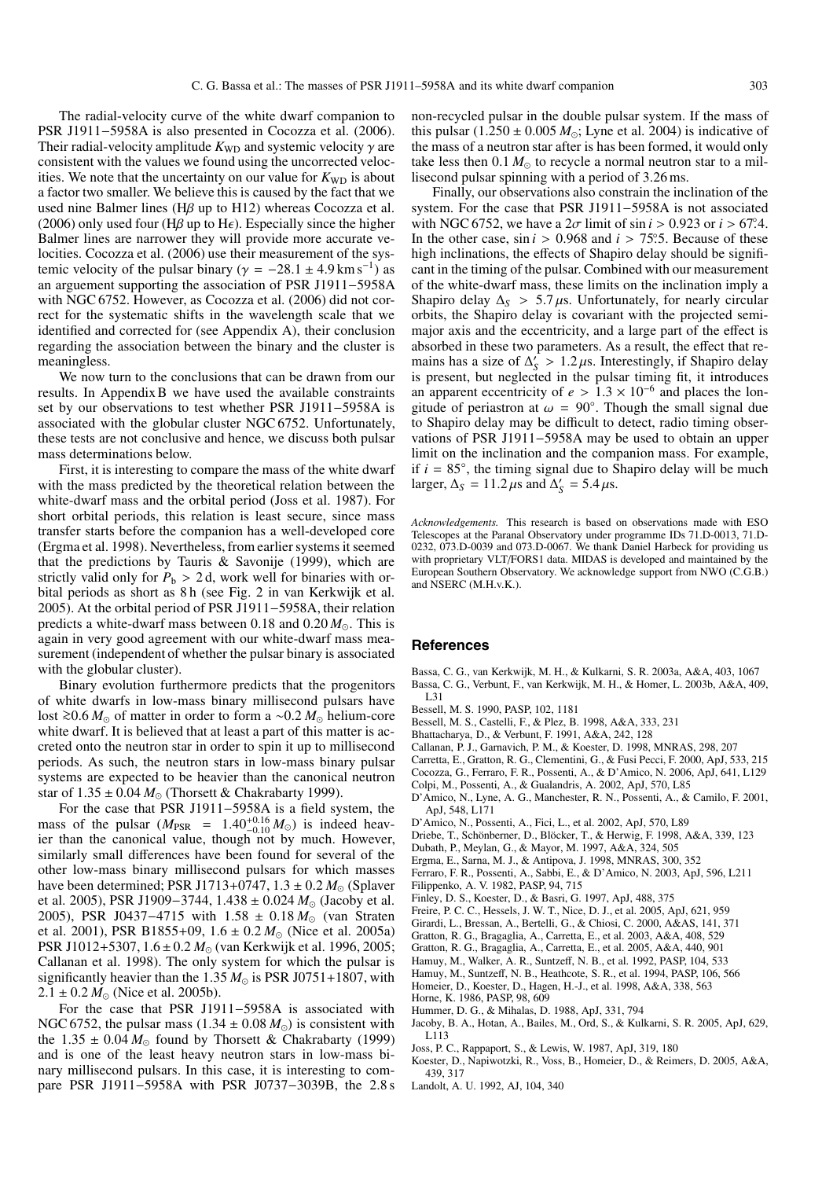The radial-velocity curve of the white dwarf companion to PSR J1911−5958A is also presented in Cocozza et al. (2006). Their radial-velocity amplitude  $K_{WD}$  and systemic velocity  $\gamma$  are consistent with the values we found using the uncorrected velocities. We note that the uncertainty on our value for  $K_{WD}$  is about a factor two smaller. We believe this is caused by the fact that we used nine Balmer lines (Hβ up to H12) whereas Cocozza et al. (2006) only used four (H $\beta$  up to H $\epsilon$ ). Especially since the higher Balmer lines are narrower they will provide more accurate velocities. Cocozza et al. (2006) use their measurement of the systemic velocity of the pulsar binary ( $\gamma = -28.1 \pm 4.9 \,\mathrm{km \, s^{-1}}$ ) as an arguement supporting the association of PSR J1911−5958A with NGC 6752. However, as Cocozza et al. (2006) did not correct for the systematic shifts in the wavelength scale that we identified and corrected for (see Appendix A), their conclusion regarding the association between the binary and the cluster is meaningless.

We now turn to the conclusions that can be drawn from our results. In Appendix B we have used the available constraints set by our observations to test whether PSR J1911−5958A is associated with the globular cluster NGC 6752. Unfortunately, these tests are not conclusive and hence, we discuss both pulsar mass determinations below.

First, it is interesting to compare the mass of the white dwarf with the mass predicted by the theoretical relation between the white-dwarf mass and the orbital period (Joss et al. 1987). For short orbital periods, this relation is least secure, since mass transfer starts before the companion has a well-developed core (Ergma et al. 1998). Nevertheless, from earlier systems it seemed that the predictions by Tauris & Savonije (1999), which are strictly valid only for  $P_b > 2 d$ , work well for binaries with orbital periods as short as 8 h (see Fig. 2 in van Kerkwijk et al. 2005). At the orbital period of PSR J1911−5958A, their relation predicts a white-dwarf mass between 0.18 and 0.20  $M_{\odot}$ . This is again in very good agreement with our white-dwarf mass measurement (independent of whether the pulsar binary is associated with the globular cluster).

Binary evolution furthermore predicts that the progenitors of white dwarfs in low-mass binary millisecond pulsars have lost ≥0.6 *M*<sub>⊙</sub> of matter in order to form a ∼0.2 *M*<sub>⊙</sub> helium-core white dwarf. It is believed that at least a part of this matter is acwhite dwarf. It is believed that at least a part of this matter is accreted onto the neutron star in order to spin it up to millisecond periods. As such, the neutron stars in low-mass binary pulsar systems are expected to be heavier than the canonical neutron star of  $1.35 \pm 0.04 M_{\odot}$  (Thorsett & Chakrabarty 1999).<br>For the case that PSR 11911–5958A is a field sy

For the case that PSR J1911−5958A is a field system, the mass of the pulsar  $(M_{PSR} = 1.40^{+0.16}_{-0.10} M_{\odot})$  is indeed heav-<br>ier than the canonical value, though not by much. However, ier than the canonical value, though not by much. However, similarly small differences have been found for several of the other low-mass binary millisecond pulsars for which masses have been determined; PSR J1713+0747,  $1.3 \pm 0.2 M_{\odot}$  (Splaver<br>et al. 2005). PSR J1909–3744, 1.438 + 0.024  $M_{\odot}$  (Jacoby et al. et al. 2005), PSR J1909–3744, 1.438 ± 0.024 M<sub>☉</sub> (Jacoby et al.<br>2005) PSR J0437–4715 with 1.58 + 0.18 M<sub>☉</sub> (van Straten 2005), PSR J0437–4715 with 1.58 ± 0.18 *M*<sub>⊙</sub> (van Straten<br>et al. 2001), PSR B1855+09, 1.6 + 0.2 *M*<sub>o</sub> (Nice et al. 2005a) et al. 2001), PSR B1855+09, 1.6 ± 0.2  $M_{\odot}$  (Nice et al. 2005a)<br>PSR 11012+5307 1.6 + 0.2  $M_{\odot}$  (van Kerkwijk et al. 1996–2005) PSR J1012+5307,  $1.6 \pm 0.2 M_{\odot}$  (van Kerkwijk et al. 1996, 2005;<br>Callanan et al. 1998). The only system for which the pulsar is Callanan et al. 1998). The only system for which the pulsar is significantly heavier than the  $1.35 M_{\odot}$  is PSR J0751+1807, with  $2.1 + 0.2 M_{\odot}$  (Nice et al. 2005b)  $2.1 \pm 0.2 M_{\odot}$  (Nice et al. 2005b).<br>For the case that PSR 119

For the case that PSR J1911−5958A is associated with NGC 6752, the pulsar mass  $(1.34 \pm 0.08 M_{\odot})$  is consistent with the 1.35 + 0.04  $M_{\odot}$  found by Thorsett & Chakrabarty (1999) the 1.35  $\pm$  0.04  $M_{\odot}$  found by Thorsett & Chakrabarty (1999) and is one of the least heavy neutron stars in low-mass biand is one of the least heavy neutron stars in low-mass binary millisecond pulsars. In this case, it is interesting to compare PSR J1911−5958A with PSR J0737−3039B, the 2.8 s non-recycled pulsar in the double pulsar system. If the mass of this pulsar  $(1.250 \pm 0.005 M_{\odot})$ ; Lyne et al. 2004) is indicative of the mass of a neutron star after is has been formed it would only the mass of a neutron star after is has been formed, it would only take less then  $0.1 M_{\odot}$  to recycle a normal neutron star to a mil-<br>lisecond pulsar spinning with a period of 3.26 ms lisecond pulsar spinning with a period of 3.26 ms.

Finally, our observations also constrain the inclination of the system. For the case that PSR J1911−5958A is not associated with NGC 6752, we have a  $2\sigma$  limit of  $\sin i > 0.923$  or  $i > 67.4$ .<br>In the other case,  $\sin i > 0.968$  and  $i > 75^{\circ}5$ . Because of these In the other case,  $\sin i > 0.968$  and  $i > 75^\circ$ . Because of these high inclinations the effects of Shapiro delay should be signifihigh inclinations, the effects of Shapiro delay should be significant in the timing of the pulsar. Combined with our measurement of the white-dwarf mass, these limits on the inclination imply a Shapiro delay  $\Delta$ <sup>*S*</sup> > 5.7  $\mu$ s. Unfortunately, for nearly circular orbits, the Shapiro delay is covariant with the projected semimajor axis and the eccentricity, and a large part of the effect is absorbed in these two parameters. As a result, the effect that remains has a size of  $\Delta'_{s} > 1.2 \mu s$ . Interestingly, if Shapiro delay<br>is present, but neglected in the pulsar timing fit, it introduces is present, but neglected in the pulsar timing fit, it introduces an apparent eccentricity of  $e > 1.3 \times 10^{-6}$  and places the longitude of periastron at  $\omega = 90^\circ$ . Though the small signal due to Shapiro delay may be difficult to detect, radio timing observations of PSR J1911−5958A may be used to obtain an upper limit on the inclination and the companion mass. For example, if  $i = 85^\circ$ , the timing signal due to Shapiro delay will be much larger,  $\Delta_S = 11.2 \,\mu s$  and  $\Delta'_S = 5.4 \,\mu s$ .

*Acknowledgements.* This research is based on observations made with ESO Telescopes at the Paranal Observatory under programme IDs 71.D-0013, 71.D-0232, 073.D-0039 and 073.D-0067. We thank Daniel Harbeck for providing us with proprietary VLT/FORS1 data. MIDAS is developed and maintained by the European Southern Observatory. We acknowledge support from NWO (C.G.B.) and NSERC (M.H.v.K.).

#### **References**

- Bassa, C. G., van Kerkwijk, M. H., & Kulkarni, S. R. 2003a, A&A, 403, 1067 Bassa, C. G., Verbunt, F., van Kerkwijk, M. H., & Homer, L. 2003b, A&A, 409, L31
- Bessell, M. S. 1990, PASP, 102, 1181
- Bessell, M. S., Castelli, F., & Plez, B. 1998, A&A, 333, 231
- Bhattacharya, D., & Verbunt, F. 1991, A&A, 242, 128
- Callanan, P. J., Garnavich, P. M., & Koester, D. 1998, MNRAS, 298, 207
- Carretta, E., Gratton, R. G., Clementini, G., & Fusi Pecci, F. 2000, ApJ, 533, 215
- Cocozza, G., Ferraro, F. R., Possenti, A., & D'Amico, N. 2006, ApJ, 641, L129
- Colpi, M., Possenti, A., & Gualandris, A. 2002, ApJ, 570, L85
- D'Amico, N., Lyne, A. G., Manchester, R. N., Possenti, A., & Camilo, F. 2001, ApJ, 548, L171
- D'Amico, N., Possenti, A., Fici, L., et al. 2002, ApJ, 570, L89
- Driebe, T., Schönberner, D., Blöcker, T., & Herwig, F. 1998, A&A, 339, 123
- Dubath, P., Meylan, G., & Mayor, M. 1997, A&A, 324, 505
- Ergma, E., Sarna, M. J., & Antipova, J. 1998, MNRAS, 300, 352
- Ferraro, F. R., Possenti, A., Sabbi, E., & D'Amico, N. 2003, ApJ, 596, L211
- Filippenko, A. V. 1982, PASP, 94, 715
- Finley, D. S., Koester, D., & Basri, G. 1997, ApJ, 488, 375
- Freire, P. C. C., Hessels, J. W. T., Nice, D. J., et al. 2005, ApJ, 621, 959
- Girardi, L., Bressan, A., Bertelli, G., & Chiosi, C. 2000, A&AS, 141, 371
- Gratton, R. G., Bragaglia, A., Carretta, E., et al. 2003, A&A, 408, 529
- Gratton, R. G., Bragaglia, A., Carretta, E., et al. 2005, A&A, 440, 901
- Hamuy, M., Walker, A. R., Suntzeff, N. B., et al. 1992, PASP, 104, 533
- Hamuy, M., Suntzeff, N. B., Heathcote, S. R., et al. 1994, PASP, 106, 566
- Homeier, D., Koester, D., Hagen, H.-J., et al. 1998, A&A, 338, 563 Horne, K. 1986, PASP, 98, 609
- Hummer, D. G., & Mihalas, D. 1988, ApJ, 331, 794
- Jacoby, B. A., Hotan, A., Bailes, M., Ord, S., & Kulkarni, S. R. 2005, ApJ, 629, L113
- Joss, P. C., Rappaport, S., & Lewis, W. 1987, ApJ, 319, 180
- Koester, D., Napiwotzki, R., Voss, B., Homeier, D., & Reimers, D. 2005, A&A, 439, 317
- Landolt, A. U. 1992, AJ, 104, 340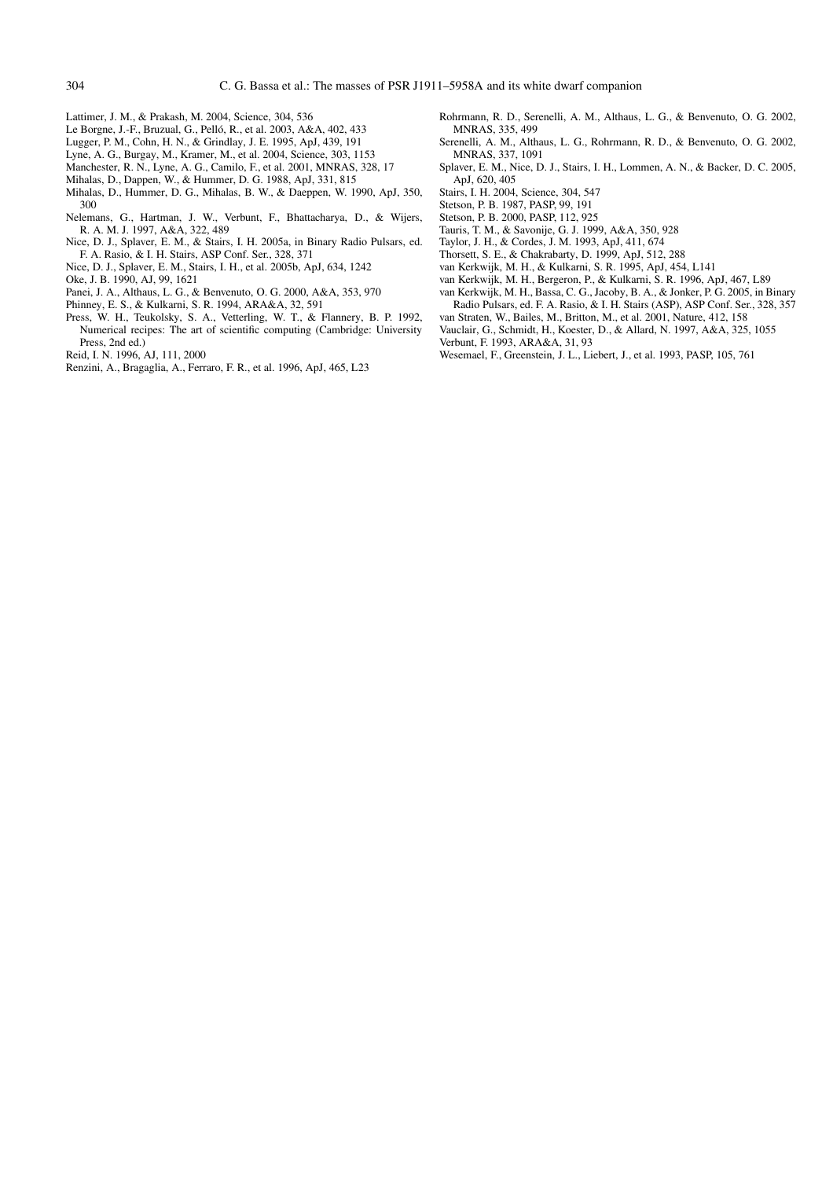- Lattimer, J. M., & Prakash, M. 2004, Science, 304, 536
- Le Borgne, J.-F., Bruzual, G., Pelló, R., et al. 2003, A&A, 402, 433
- Lugger, P. M., Cohn, H. N., & Grindlay, J. E. 1995, ApJ, 439, 191
- Lyne, A. G., Burgay, M., Kramer, M., et al. 2004, Science, 303, 1153
- Manchester, R. N., Lyne, A. G., Camilo, F., et al. 2001, MNRAS, 328, 17
- Mihalas, D., Dappen, W., & Hummer, D. G. 1988, ApJ, 331, 815
- Mihalas, D., Hummer, D. G., Mihalas, B. W., & Daeppen, W. 1990, ApJ, 350, 300
- Nelemans, G., Hartman, J. W., Verbunt, F., Bhattacharya, D., & Wijers, R. A. M. J. 1997, A&A, 322, 489
- Nice, D. J., Splaver, E. M., & Stairs, I. H. 2005a, in Binary Radio Pulsars, ed. F. A. Rasio, & I. H. Stairs, ASP Conf. Ser., 328, 371
- Nice, D. J., Splaver, E. M., Stairs, I. H., et al. 2005b, ApJ, 634, 1242
- Oke, J. B. 1990, AJ, 99, 1621
- Panei, J. A., Althaus, L. G., & Benvenuto, O. G. 2000, A&A, 353, 970
- Phinney, E. S., & Kulkarni, S. R. 1994, ARA&A, 32, 591
- Press, W. H., Teukolsky, S. A., Vetterling, W. T., & Flannery, B. P. 1992, Numerical recipes: The art of scientific computing (Cambridge: University Press, 2nd ed.)
- Reid, I. N. 1996, AJ, 111, 2000
- Renzini, A., Bragaglia, A., Ferraro, F. R., et al. 1996, ApJ, 465, L23
- Rohrmann, R. D., Serenelli, A. M., Althaus, L. G., & Benvenuto, O. G. 2002, MNRAS, 335, 499
- Serenelli, A. M., Althaus, L. G., Rohrmann, R. D., & Benvenuto, O. G. 2002, MNRAS, 337, 1091
- Splaver, E. M., Nice, D. J., Stairs, I. H., Lommen, A. N., & Backer, D. C. 2005, ApJ, 620, 405
- Stairs, I. H. 2004, Science, 304, 547
- Stetson, P. B. 1987, PASP, 99, 191
- Stetson, P. B. 2000, PASP, 112, 925
- Tauris, T. M., & Savonije, G. J. 1999, A&A, 350, 928
- Taylor, J. H., & Cordes, J. M. 1993, ApJ, 411, 674
- Thorsett, S. E., & Chakrabarty, D. 1999, ApJ, 512, 288
- van Kerkwijk, M. H., & Kulkarni, S. R. 1995, ApJ, 454, L141
- van Kerkwijk, M. H., Bergeron, P., & Kulkarni, S. R. 1996, ApJ, 467, L89
- van Kerkwijk, M. H., Bassa, C. G., Jacoby, B. A., & Jonker, P. G. 2005, in Binary
- Radio Pulsars, ed. F. A. Rasio, & I. H. Stairs (ASP), ASP Conf. Ser., 328, 357
- van Straten, W., Bailes, M., Britton, M., et al. 2001, Nature, 412, 158
- Vauclair, G., Schmidt, H., Koester, D., & Allard, N. 1997, A&A, 325, 1055 Verbunt, F. 1993, ARA&A, 31, 93
- 
- Wesemael, F., Greenstein, J. L., Liebert, J., et al. 1993, PASP, 105, 761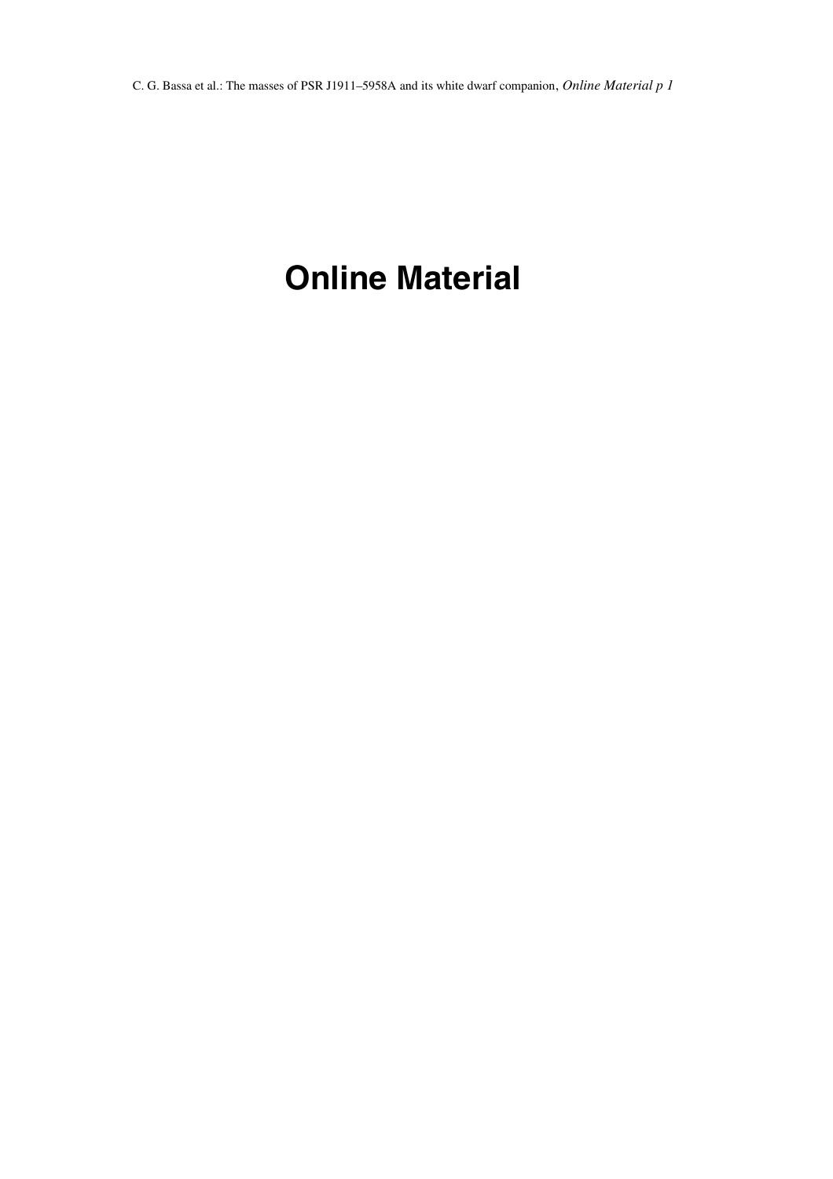# **Online Material**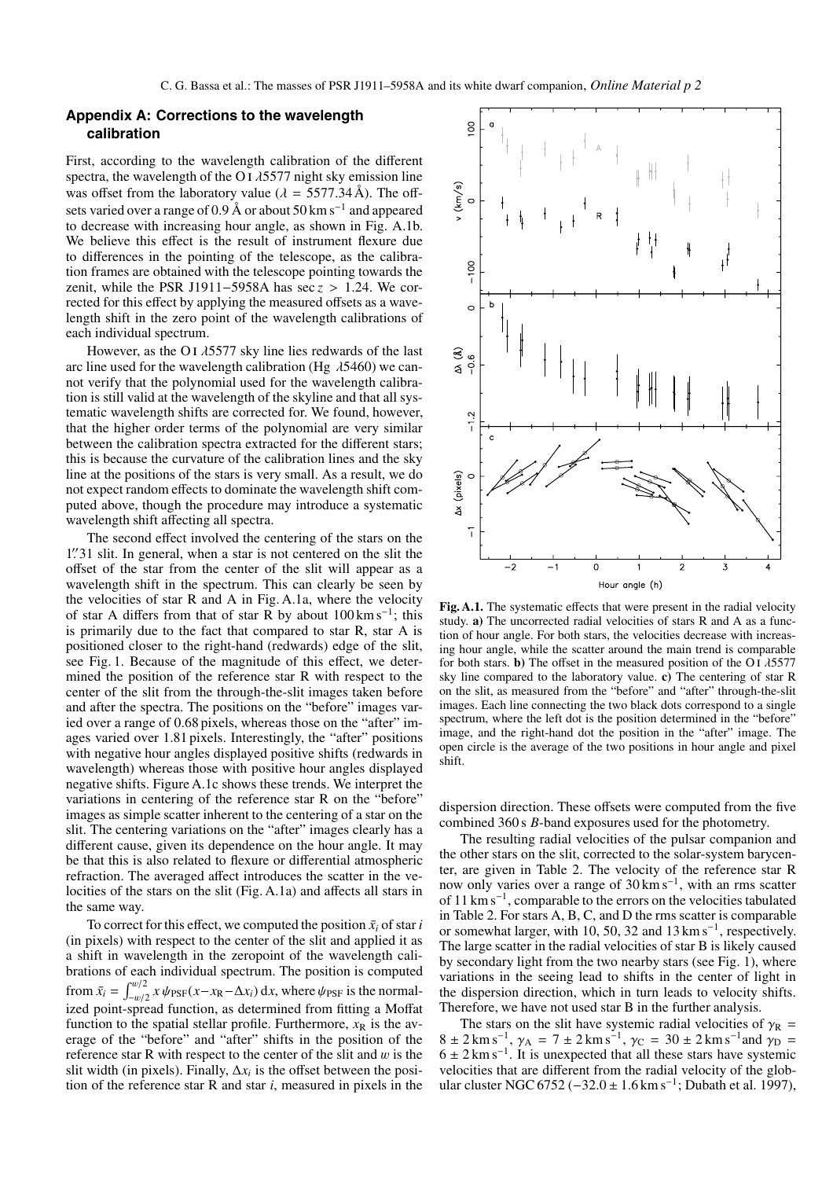# **Appendix A: Corrections to the wavelength calibration**

First, according to the wavelength calibration of the different spectra, the wavelength of the O I  $\lambda$ 5577 night sky emission line was offset from the laboratory value ( $\lambda = 5577.34 \text{ Å}$ ). The offsets varied over a range of 0.9 Å or about 50 km s<sup>-1</sup> and appeared to decrease with increasing hour angle, as shown in Fig. A.1b. We believe this effect is the result of instrument flexure due to differences in the pointing of the telescope, as the calibration frames are obtained with the telescope pointing towards the zenit, while the PSR J1911−5958A has sec *<sup>z</sup>* > <sup>1</sup>.24. We corrected for this effect by applying the measured offsets as a wavelength shift in the zero point of the wavelength calibrations of each individual spectrum.

However, as the O I  $\lambda$ 5577 sky line lies redwards of the last arc line used for the wavelength calibration (Hg  $\lambda$ 5460) we cannot verify that the polynomial used for the wavelength calibration is still valid at the wavelength of the skyline and that all systematic wavelength shifts are corrected for. We found, however, that the higher order terms of the polynomial are very similar between the calibration spectra extracted for the different stars; this is because the curvature of the calibration lines and the sky line at the positions of the stars is very small. As a result, we do not expect random effects to dominate the wavelength shift computed above, though the procedure may introduce a systematic wavelength shift affecting all spectra.

The second effect involved the centering of the stars on the 1. 1. 1. It Is general, when a star is not centered on the slit the offset of the star from the center of the slit will appear as a offset of the star from the center of the slit will appear as a wavelength shift in the spectrum. This can clearly be seen by the velocities of star R and A in Fig. A.1a, where the velocity of star A differs from that of star R by about  $100 \text{ km s}^{-1}$ ; this is primarily due to the fact that compared to star R, star A is positioned closer to the right-hand (redwards) edge of the slit, see Fig. 1. Because of the magnitude of this effect, we determined the position of the reference star R with respect to the center of the slit from the through-the-slit images taken before and after the spectra. The positions on the "before" images varied over a range of 0.68 pixels, whereas those on the "after" images varied over 1.81 pixels. Interestingly, the "after" positions with negative hour angles displayed positive shifts (redwards in wavelength) whereas those with positive hour angles displayed negative shifts. Figure A.1c shows these trends. We interpret the variations in centering of the reference star R on the "before" images as simple scatter inherent to the centering of a star on the slit. The centering variations on the "after" images clearly has a different cause, given its dependence on the hour angle. It may be that this is also related to flexure or differential atmospheric refraction. The averaged affect introduces the scatter in the velocities of the stars on the slit (Fig. A.1a) and affects all stars in the same way.

To correct for this effect, we computed the position  $\bar{x}_i$  of star *i* (in pixels) with respect to the center of the slit and applied it as a shift in wavelength in the zeropoint of the wavelength calibrations of each individual spectrum. The position is computed from  $\bar{x}_i = \int_{-w/2}^{w/2} x \psi_{\text{PSF}}(x - x_{\text{R}} - \Delta x_i) dx$ , where  $\psi_{\text{PSF}}$  is the normal-<br>ized point-spread function as determined from fitting a Moffat ized point-spread function, as determined from fitting a Moffat function to the spatial stellar profile. Furthermore,  $x_R$  is the average of the "before" and "after" shifts in the position of the reference star R with respect to the center of the slit and  $w$  is the slit width (in pixels). Finally,  $\Delta x_i$  is the offset between the position of the reference star R and star *i*, measured in pixels in the



Fig. A.1. The systematic effects that were present in the radial velocity study. **a)** The uncorrected radial velocities of stars R and A as a function of hour angle. For both stars, the velocities decrease with increasing hour angle, while the scatter around the main trend is comparable for both stars. **b**) The offset in the measured position of the O i  $\lambda$ 5577 sky line compared to the laboratory value. **c)** The centering of star R on the slit, as measured from the "before" and "after" through-the-slit images. Each line connecting the two black dots correspond to a single spectrum, where the left dot is the position determined in the "before" image, and the right-hand dot the position in the "after" image. The open circle is the average of the two positions in hour angle and pixel shift.

dispersion direction. These offsets were computed from the five combined 360 s *B*-band exposures used for the photometry.

The resulting radial velocities of the pulsar companion and the other stars on the slit, corrected to the solar-system barycenter, are given in Table 2. The velocity of the reference star R now only varies over a range of 30 km s−1, with an rms scatter of 11 km s−1, comparable to the errors on the velocities tabulated in Table 2. For stars A, B, C, and D the rms scatter is comparable or somewhat larger, with 10, 50, 32 and  $13 \text{ km s}^{-1}$ , respectively. The large scatter in the radial velocities of star B is likely caused by secondary light from the two nearby stars (see Fig. 1), where variations in the seeing lead to shifts in the center of light in the dispersion direction, which in turn leads to velocity shifts. Therefore, we have not used star B in the further analysis.

The stars on the slit have systemic radial velocities of  $\gamma_R$  =  $8 \pm 2 \text{ km s}^{-1}$ ,  $\gamma_A = 7 \pm 2 \text{ km s}^{-1}$ ,  $\gamma_C = 30 \pm 2 \text{ km s}^{-1}$  and  $\gamma_D =$  $6 \pm 2 \text{ km s}^{-1}$ . It is unexpected that all these stars have systemic velocities that are different from the radial velocity of the globular cluster NGC 6752 (−32.0 ± 1.6 km s<sup>-1</sup>; Dubath et al. 1997),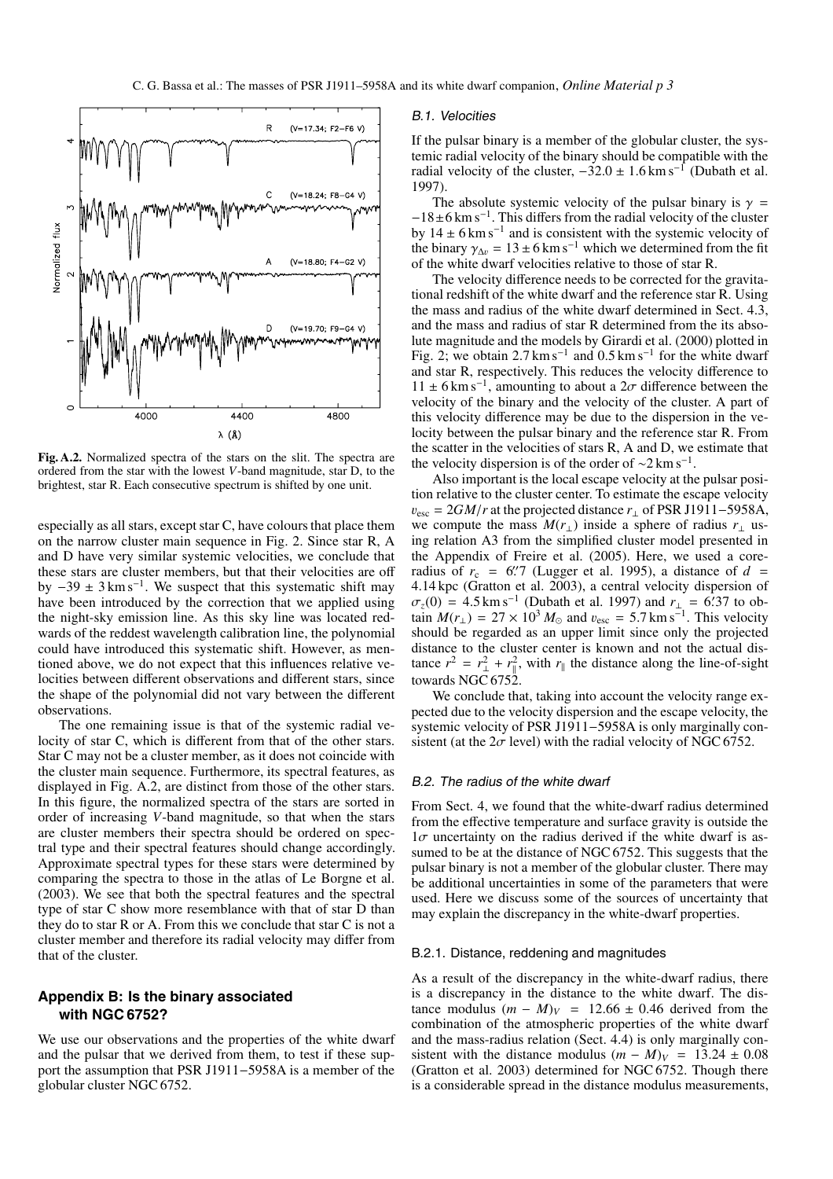

**Fig. A.2.** Normalized spectra of the stars on the slit. The spectra are ordered from the star with the lowest *V*-band magnitude, star D, to the brightest, star R. Each consecutive spectrum is shifted by one unit.

especially as all stars, except star C, have colours that place them on the narrow cluster main sequence in Fig. 2. Since star R, A and D have very similar systemic velocities, we conclude that these stars are cluster members, but that their velocities are off by  $-39 \pm 3 \text{ km s}^{-1}$ . We suspect that this systematic shift may have been introduced by the correction that we applied using the night-sky emission line. As this sky line was located redwards of the reddest wavelength calibration line, the polynomial could have introduced this systematic shift. However, as mentioned above, we do not expect that this influences relative velocities between different observations and different stars, since the shape of the polynomial did not vary between the different observations.

The one remaining issue is that of the systemic radial velocity of star C, which is different from that of the other stars. Star C may not be a cluster member, as it does not coincide with the cluster main sequence. Furthermore, its spectral features, as displayed in Fig. A.2, are distinct from those of the other stars. In this figure, the normalized spectra of the stars are sorted in order of increasing *V*-band magnitude, so that when the stars are cluster members their spectra should be ordered on spectral type and their spectral features should change accordingly. Approximate spectral types for these stars were determined by comparing the spectra to those in the atlas of Le Borgne et al. (2003). We see that both the spectral features and the spectral type of star C show more resemblance with that of star D than they do to star R or A. From this we conclude that star C is not a cluster member and therefore its radial velocity may differ from that of the cluster.

# **Appendix B: Is the binary associated with NGC 6752?**

We use our observations and the properties of the white dwarf and the pulsar that we derived from them, to test if these support the assumption that PSR J1911−5958A is a member of the globular cluster NGC 6752.

#### B.1. Velocities

If the pulsar binary is a member of the globular cluster, the systemic radial velocity of the binary should be compatible with the radial velocity of the cluster,  $-32.0 \pm 1.6$  km s<sup>-1</sup> (Dubath et al. 1997).

The absolute systemic velocity of the pulsar binary is  $\gamma$  = <sup>−</sup>18±6 km s−1. This differs from the radial velocity of the cluster by  $14 \pm 6$  km s<sup>-1</sup> and is consistent with the systemic velocity of the binary  $\gamma_{\Delta v} = 13 \pm 6 \text{ km s}^{-1}$  which we determined from the fit of the white dwarf velocities relative to those of star R.

The velocity difference needs to be corrected for the gravitational redshift of the white dwarf and the reference star R. Using the mass and radius of the white dwarf determined in Sect. 4.3, and the mass and radius of star R determined from the its absolute magnitude and the models by Girardi et al. (2000) plotted in Fig. 2; we obtain  $2.7 \text{ km s}^{-1}$  and  $0.5 \text{ km s}^{-1}$  for the white dwarf and star R, respectively. This reduces the velocity difference to  $11 \pm 6$  km s<sup>-1</sup>, amounting to about a  $2\sigma$  difference between the velocity of the binary and the velocity of the cluster. A part of this velocity difference may be due to the dispersion in the velocity between the pulsar binary and the reference star R. From the scatter in the velocities of stars R, A and D, we estimate that the velocity dispersion is of the order of  $\sim$ 2 km s<sup>-1</sup>.

Also important is the local escape velocity at the pulsar position relative to the cluster center. To estimate the escape velocity  $v_{\text{esc}} = 2GM/r$  at the projected distance  $r_{\perp}$  of PSR J1911–5958A, we compute the mass  $M(r_{\perp})$  inside a sphere of radius  $r_{\perp}$  using relation A3 from the simplified cluster model presented in the Appendix of Freire et al. (2005). Here, we used a coreradius of  $r_c = 6$ . (Lugger et al. 1995), a distance of  $d = 4.14$  kpc (Gratton et al. 2003) a central velocity dispersion of <sup>4</sup>.14 kpc (Gratton et al. 2003), a central velocity dispersion of  $\sigma_z(0) = 4.5 \text{ km s}^{-1}$  (Dubath et al. 1997) and  $r_{\perp} = 6.37$  to obtain  $M(r_{\perp}) = 27 \times 10^3 M_{\odot}$  and  $v_{\text{avg}} = 5.7 \text{ km s}^{-1}$  This velocity tain  $M(r_{\perp}) = 27 \times 10^3 M_{\odot}$  and  $v_{\text{esc}} = 5.7 \text{ km s}^{-1}$ . This velocity should be regarded as an upper limit since only the projected should be regarded as an upper limit since only the projected distance to the cluster center is known and not the actual distance  $r^2 = r_\perp^2 + r_\parallel^2$ , with  $r_\parallel$  the distance along the line-of-sight towards NGC 6752.

We conclude that, taking into account the velocity range expected due to the velocity dispersion and the escape velocity, the systemic velocity of PSR J1911–5958A is only marginally consistent (at the  $2\sigma$  level) with the radial velocity of NGC 6752.

#### B.2. The radius of the white dwarf

From Sect. 4, we found that the white-dwarf radius determined from the effective temperature and surface gravity is outside the  $1\sigma$  uncertainty on the radius derived if the white dwarf is assumed to be at the distance of NGC 6752. This suggests that the pulsar binary is not a member of the globular cluster. There may be additional uncertainties in some of the parameters that were used. Here we discuss some of the sources of uncertainty that may explain the discrepancy in the white-dwarf properties.

#### B.2.1. Distance, reddening and magnitudes

As a result of the discrepancy in the white-dwarf radius, there is a discrepancy in the distance to the white dwarf. The distance modulus  $(m - M)<sub>V</sub> = 12.66 \pm 0.46$  derived from the combination of the atmospheric properties of the white dwarf and the mass-radius relation (Sect. 4.4) is only marginally consistent with the distance modulus  $(m - M)_V = 13.24 \pm 0.08$ (Gratton et al. 2003) determined for NGC 6752. Though there is a considerable spread in the distance modulus measurements,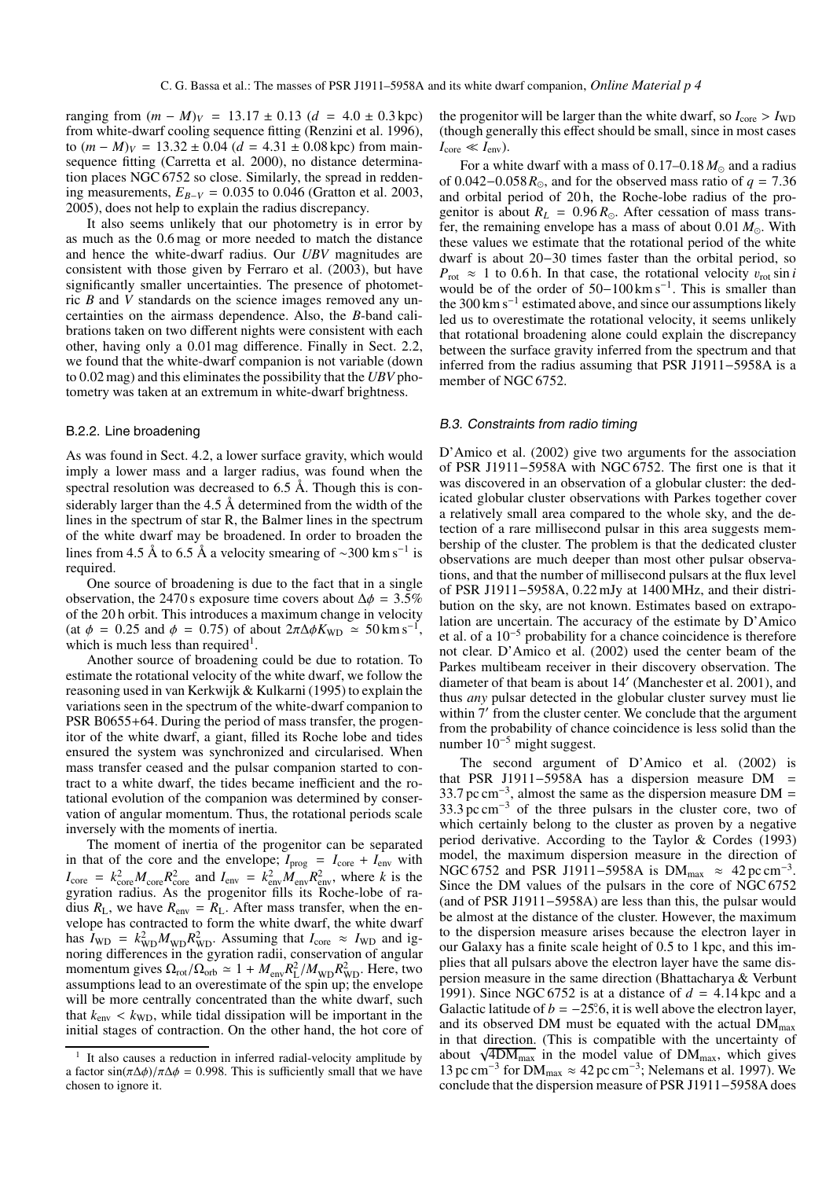ranging from  $(m - M)_V = 13.17 \pm 0.13$  (*d* = 4.0 ± 0.3 kpc) from white-dwarf cooling sequence fitting (Renzini et al. 1996), to  $(m - M)_V = 13.32 \pm 0.04$  ( $d = 4.31 \pm 0.08$  kpc) from mainsequence fitting (Carretta et al. 2000), no distance determination places NGC 6752 so close. Similarly, the spread in reddening measurements,  $E_{B-V} = 0.035$  to 0.046 (Gratton et al. 2003, 2005), does not help to explain the radius discrepancy.

It also seems unlikely that our photometry is in error by as much as the 0.6 mag or more needed to match the distance and hence the white-dwarf radius. Our *UBV* magnitudes are consistent with those given by Ferraro et al. (2003), but have significantly smaller uncertainties. The presence of photometric *B* and *V* standards on the science images removed any uncertainties on the airmass dependence. Also, the *B*-band calibrations taken on two different nights were consistent with each other, having only a 0.01 mag difference. Finally in Sect. 2.2, we found that the white-dwarf companion is not variable (down to 0.02 mag) and this eliminates the possibility that the *UBV* photometry was taken at an extremum in white-dwarf brightness.

#### B.2.2. Line broadening

As was found in Sect. 4.2, a lower surface gravity, which would imply a lower mass and a larger radius, was found when the spectral resolution was decreased to  $6.5 \text{ Å}$ . Though this is considerably larger than the  $4.5 \text{ Å}$  determined from the width of the lines in the spectrum of star R, the Balmer lines in the spectrum of the white dwarf may be broadened. In order to broaden the lines from 4.5 Å to 6.5 Å a velocity smearing of ~300 km s<sup>−1</sup> is required.

One source of broadening is due to the fact that in a single observation, the 2470 s exposure time covers about  $\Delta \phi = 3.5\%$ of the 20 h orbit. This introduces a maximum change in velocity (at  $\phi = 0.25$  and  $\phi = 0.75$ ) of about  $2\pi\Delta\phi K_{WD} \approx 50 \text{ km s}^{-1}$ , which is much less than required<sup>1</sup>.

Another source of broadening could be due to rotation. To estimate the rotational velocity of the white dwarf, we follow the reasoning used in van Kerkwijk & Kulkarni (1995) to explain the variations seen in the spectrum of the white-dwarf companion to PSR B0655+64. During the period of mass transfer, the progenitor of the white dwarf, a giant, filled its Roche lobe and tides ensured the system was synchronized and circularised. When mass transfer ceased and the pulsar companion started to contract to a white dwarf, the tides became inefficient and the rotational evolution of the companion was determined by conservation of angular momentum. Thus, the rotational periods scale inversely with the moments of inertia.

The moment of inertia of the progenitor can be separated in that of the core and the envelope;  $I_{\text{prog}} = I_{\text{core}} + I_{\text{env}}$  with  $I_{\text{core}} = k_{\text{core}}^2 M_{\text{core}} R_{\text{core}}^2$  and  $I_{\text{env}} = k_{\text{env}}^2 M_{\text{env}} R_{\text{env}}^2$ , where *k* is the gyration radius. As the progenitor fills its Roche-lobe of radius  $R_L$ , we have  $R_{env} = R_L$ . After mass transfer, when the envelope has contracted to form the white dwarf, the white dwarf has  $I_{WD} = k_{WD}^2 M_{WD} R_{WD}^2$ . Assuming that  $I_{core} \approx I_{WD}$  and ignoring differences in the gyration radii, conservation of angular momentum gives  $\Omega_{\rm rot}/\Omega_{\rm orb} \simeq 1 + M_{\rm env} R_{\rm L}^2 / M_{\rm WD} R_{\rm WD}^2$ . Here, two assumptions lead to an overestimate of the spin up: the envelope assumptions lead to an overestimate of the spin up; the envelope will be more centrally concentrated than the white dwarf, such that  $k_{\text{env}} < k_{\text{WD}}$ , while tidal dissipation will be important in the initial stages of contraction. On the other hand, the hot core of the progenitor will be larger than the white dwarf, so  $I_{\text{core}} > I_{\text{WD}}$ (though generally this effect should be small, since in most cases  $I_{\text{core}} \ll I_{\text{env}}$ ).

For a white dwarf with a mass of  $0.17-0.18 M_{\odot}$  and a radius of 0.042–0.058 $R_{\odot}$ , and for the observed mass ratio of  $q = 7.36$ <br>and orbital period of 20 h the Roche-lobe radius of the proand orbital period of 20 h, the Roche-lobe radius of the progenitor is about  $R_L = 0.96 R_{\odot}$ . After cessation of mass trans-<br>fer the remaining envelope has a mass of about 0.01  $M_{\odot}$ . With fer, the remaining envelope has a mass of about  $0.01 M_{\odot}$ . With these values we estimate that the rotational period of the white these values we estimate that the rotational period of the white dwarf is about 20−30 times faster than the orbital period, so  $P_{\text{rot}} \approx 1$  to 0.6 h. In that case, the rotational velocity  $v_{\text{rot}} \sin i$ would be of the order of  $50-100 \text{ km s}^{-1}$ . This is smaller than the 300 km s<sup> $-1$ </sup> estimated above, and since our assumptions likely led us to overestimate the rotational velocity, it seems unlikely that rotational broadening alone could explain the discrepancy between the surface gravity inferred from the spectrum and that inferred from the radius assuming that PSR J1911−5958A is a member of NGC 6752.

#### B.3. Constraints from radio timing

D'Amico et al. (2002) give two arguments for the association of PSR J1911−5958A with NGC 6752. The first one is that it was discovered in an observation of a globular cluster: the dedicated globular cluster observations with Parkes together cover a relatively small area compared to the whole sky, and the detection of a rare millisecond pulsar in this area suggests membership of the cluster. The problem is that the dedicated cluster observations are much deeper than most other pulsar observations, and that the number of millisecond pulsars at the flux level of PSR J1911−5958A, 0.22 mJy at 1400 MHz, and their distribution on the sky, are not known. Estimates based on extrapolation are uncertain. The accuracy of the estimate by D'Amico et al. of a 10−<sup>5</sup> probability for a chance coincidence is therefore not clear. D'Amico et al. (2002) used the center beam of the Parkes multibeam receiver in their discovery observation. The diameter of that beam is about 14 (Manchester et al. 2001), and thus *any* pulsar detected in the globular cluster survey must lie within 7' from the cluster center. We conclude that the argument from the probability of chance coincidence is less solid than the number 10−<sup>5</sup> might suggest.

The second argument of D'Amico et al. (2002) is that PSR J1911−5958A has a dispersion measure DM = 33.7 pc cm<sup>-3</sup>, almost the same as the dispersion measure DM = 33.7 pc cm<sup>-3</sup>, almost the same as the dispersion measure DM = 33.3 pc cm<sup>-3</sup> of the three pulsars in the cluster core, two of  $33.3 \,\mathrm{pc \, cm^{-3}}$  of the three pulsars in the cluster core, two of which certainly belong to the cluster as proven by a negative which certainly belong to the cluster as proven by a negative period derivative. According to the Taylor & Cordes (1993) model, the maximum dispersion measure in the direction of NGC 6752 and PSR J1911–5958A is DM<sub>max</sub>  $\approx$  42 pc cm<sup>-3</sup>. Since the DM values of the pulsars in the core of NGC 6752 (and of PSR J1911−5958A) are less than this, the pulsar would be almost at the distance of the cluster. However, the maximum to the dispersion measure arises because the electron layer in our Galaxy has a finite scale height of 0.5 to 1 kpc, and this implies that all pulsars above the electron layer have the same dispersion measure in the same direction (Bhattacharya & Verbunt 1991). Since NGC 6752 is at a distance of  $d = 4.14$  kpc and a Galactic latitude of  $b = -25^\circ, 6$ , it is well above the electron layer, and its observed DM must be equated with the actual DM<sub>nov</sub> and its observed DM must be equated with the actual  $DM_{\text{max}}$ in that direction. (This is compatible with the uncertainty of about  $\sqrt{4DM_{\text{max}}}$  in the model value of  $DM_{\text{max}}$ , which gives 13 pc cm<sup>-3</sup> for DM<sub>max</sub>  $\approx$  42 pc cm<sup>-3</sup>; Nelemans et al. 1997). We conclude that the dispersion measure of PSR J1911−5958A does

 $1$  It also causes a reduction in inferred radial-velocity amplitude by a factor  $\sin(\pi \Delta \phi)/\pi \Delta \phi = 0.998$ . This is sufficiently small that we have chosen to ignore it.